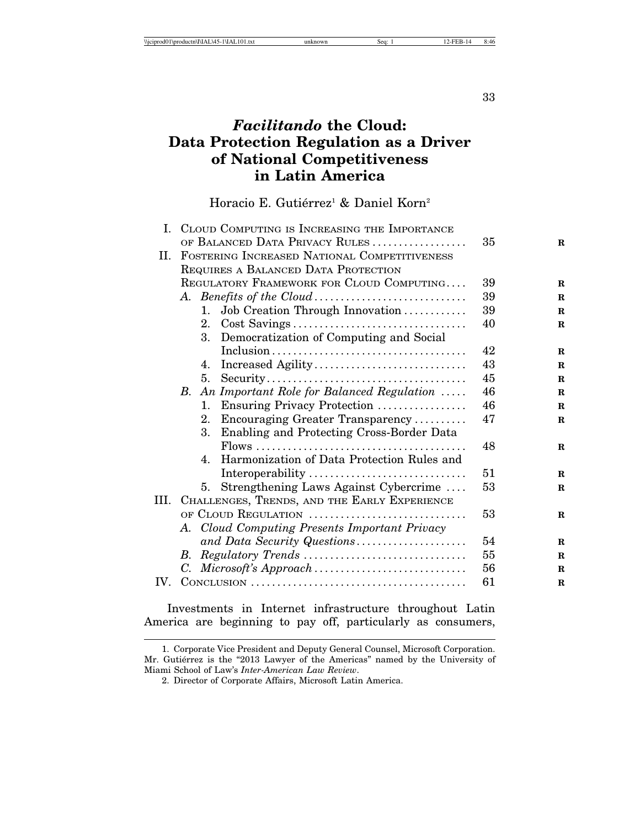33

# *Facilitando* **the Cloud: Data Protection Regulation as a Driver of National Competitiveness in Latin America**

Horacio E. Gutiérrez<sup>1</sup> & Daniel Korn<sup>2</sup>

|      | I. CLOUD COMPUTING IS INCREASING THE IMPORTANCE                                                 |    |             |
|------|-------------------------------------------------------------------------------------------------|----|-------------|
|      | OF BALANCED DATA PRIVACY RULES                                                                  | 35 | $\mathbf R$ |
| П.   | FOSTERING INCREASED NATIONAL COMPETITIVENESS                                                    |    |             |
|      | REQUIRES A BALANCED DATA PROTECTION                                                             |    |             |
|      | REGULATORY FRAMEWORK FOR CLOUD COMPUTING                                                        | 39 | $\mathbf R$ |
|      | A. Benefits of the Cloud                                                                        | 39 | $\mathbf R$ |
|      | Job Creation Through Innovation<br>$1_{\cdot}$                                                  | 39 | $\mathbf R$ |
|      | 2.                                                                                              | 40 | $\bf R$     |
|      | Democratization of Computing and Social<br>3.                                                   |    |             |
|      | $Inclusion \ldots \ldots \ldots \ldots \ldots \ldots \ldots \ldots \ldots \ldots \ldots \ldots$ | 42 | $\bf{R}$    |
|      | Increased Agility<br>4.                                                                         | 43 | $\mathbf R$ |
|      | 5 <sub>1</sub>                                                                                  | 45 | $\mathbf R$ |
|      | B. An Important Role for Balanced Regulation                                                    | 46 | $\mathbf R$ |
|      | Ensuring Privacy Protection<br>1.                                                               | 46 | $\bf{R}$    |
|      | Encouraging Greater Transparency<br>$2_{-}$                                                     | 47 | $\bf{R}$    |
|      | 3.<br>Enabling and Protecting Cross-Border Data                                                 |    |             |
|      |                                                                                                 | 48 | $\bf{R}$    |
|      | Harmonization of Data Protection Rules and<br>4.                                                |    |             |
|      | Interoperability                                                                                | 51 | $\mathbf R$ |
|      | Strengthening Laws Against Cybercrime<br>5.                                                     | 53 | $\bf R$     |
| III. | CHALLENGES, TRENDS, AND THE EARLY EXPERIENCE                                                    |    |             |
|      | OF CLOUD REGULATION                                                                             | 53 | $\bf{R}$    |
|      | A. Cloud Computing Presents Important Privacy                                                   |    |             |
|      | and Data Security Questions                                                                     | 54 | $\bf{R}$    |
|      | $Regularory \, Trends \,  \ldots \ldots \ldots \ldots \ldots \ldots \ldots \ldots$<br>B.        | 55 | $\mathbf R$ |
|      |                                                                                                 | 56 | $\mathbf R$ |
| IV.  |                                                                                                 | 61 | $\mathbf R$ |

Investments in Internet infrastructure throughout Latin America are beginning to pay off, particularly as consumers,

<sup>1.</sup> Corporate Vice President and Deputy General Counsel, Microsoft Corporation. Mr. Gutiérrez is the "2013 Lawyer of the Americas" named by the University of Miami School of Law's *Inter-American Law Review*.

<sup>2.</sup> Director of Corporate Affairs, Microsoft Latin America.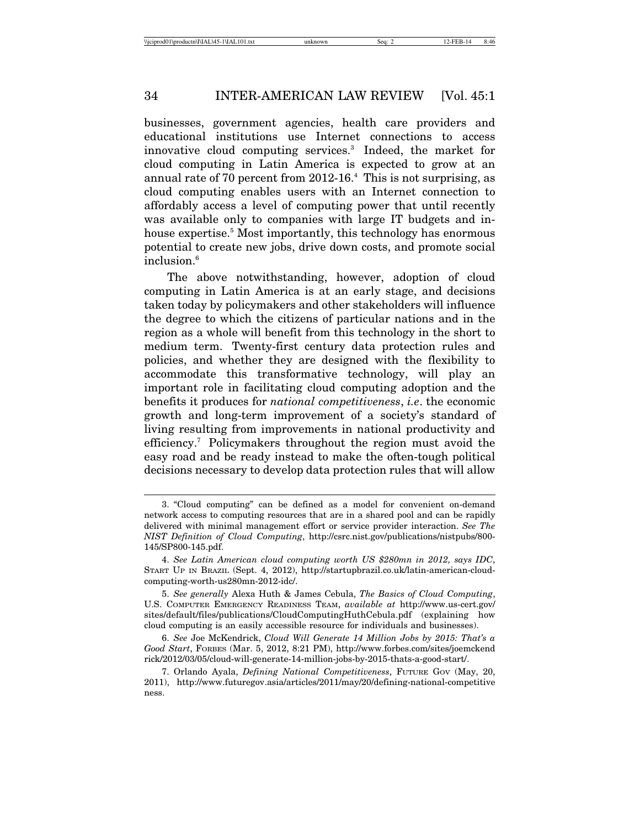businesses, government agencies, health care providers and educational institutions use Internet connections to access innovative cloud computing services.3 Indeed, the market for cloud computing in Latin America is expected to grow at an annual rate of 70 percent from 2012-16.4 This is not surprising, as cloud computing enables users with an Internet connection to affordably access a level of computing power that until recently was available only to companies with large IT budgets and inhouse expertise.<sup>5</sup> Most importantly, this technology has enormous potential to create new jobs, drive down costs, and promote social inclusion.<sup>6</sup>

The above notwithstanding, however, adoption of cloud computing in Latin America is at an early stage, and decisions taken today by policymakers and other stakeholders will influence the degree to which the citizens of particular nations and in the region as a whole will benefit from this technology in the short to medium term. Twenty-first century data protection rules and policies, and whether they are designed with the flexibility to accommodate this transformative technology, will play an important role in facilitating cloud computing adoption and the benefits it produces for *national competitiveness*, *i.e*. the economic growth and long-term improvement of a society's standard of living resulting from improvements in national productivity and efficiency.7 Policymakers throughout the region must avoid the easy road and be ready instead to make the often-tough political decisions necessary to develop data protection rules that will allow

<sup>3. &</sup>quot;Cloud computing" can be defined as a model for convenient on-demand network access to computing resources that are in a shared pool and can be rapidly delivered with minimal management effort or service provider interaction. *See The NIST Definition of Cloud Computing*, http://csrc.nist.gov/publications/nistpubs/800- 145/SP800-145.pdf.

<sup>4.</sup> *See Latin American cloud computing worth US \$280mn in 2012, says IDC*, START UP IN BRAZIL (Sept. 4, 2012), http://startupbrazil.co.uk/latin-american-cloudcomputing-worth-us280mn-2012-idc/.

<sup>5.</sup> *See generally* Alexa Huth & James Cebula, *The Basics of Cloud Computing*, U.S. COMPUTER EMERGENCY READINESS TEAM, *available at* http://www.us-cert.gov/ sites/default/files/publications/CloudComputingHuthCebula.pdf (explaining how cloud computing is an easily accessible resource for individuals and businesses).

<sup>6.</sup> *See* Joe McKendrick, *Cloud Will Generate 14 Million Jobs by 2015: That's a Good Start*, FORBES (Mar. 5, 2012, 8:21 PM), http://www.forbes.com/sites/joemckend rick/2012/03/05/cloud-will-generate-14-million-jobs-by-2015-thats-a-good-start/.

<sup>7.</sup> Orlando Ayala, *Defining National Competitiveness*, FUTURE GOV (May, 20, 2011), http://www.futuregov.asia/articles/2011/may/20/defining-national-competitive ness.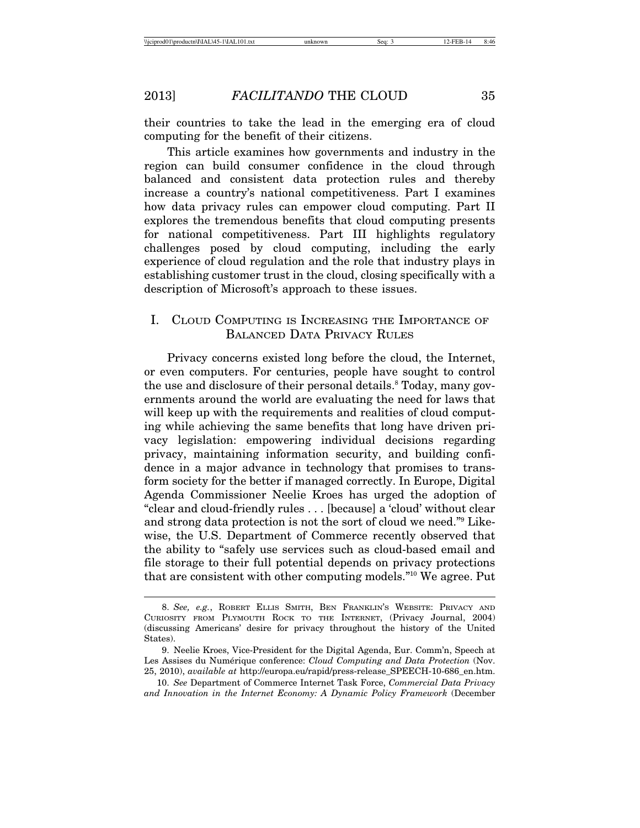their countries to take the lead in the emerging era of cloud computing for the benefit of their citizens.

This article examines how governments and industry in the region can build consumer confidence in the cloud through balanced and consistent data protection rules and thereby increase a country's national competitiveness. Part I examines how data privacy rules can empower cloud computing. Part II explores the tremendous benefits that cloud computing presents for national competitiveness. Part III highlights regulatory challenges posed by cloud computing, including the early experience of cloud regulation and the role that industry plays in establishing customer trust in the cloud, closing specifically with a description of Microsoft's approach to these issues.

# I. CLOUD COMPUTING IS INCREASING THE IMPORTANCE OF BALANCED DATA PRIVACY RULES

Privacy concerns existed long before the cloud, the Internet, or even computers. For centuries, people have sought to control the use and disclosure of their personal details.<sup>8</sup> Today, many governments around the world are evaluating the need for laws that will keep up with the requirements and realities of cloud computing while achieving the same benefits that long have driven privacy legislation: empowering individual decisions regarding privacy, maintaining information security, and building confidence in a major advance in technology that promises to transform society for the better if managed correctly. In Europe, Digital Agenda Commissioner Neelie Kroes has urged the adoption of "clear and cloud-friendly rules . . . [because] a 'cloud' without clear and strong data protection is not the sort of cloud we need."9 Likewise, the U.S. Department of Commerce recently observed that the ability to "safely use services such as cloud-based email and file storage to their full potential depends on privacy protections that are consistent with other computing models."10 We agree. Put

<sup>8.</sup> *See, e.g.*, ROBERT ELLIS SMITH, BEN FRANKLIN'S WEBSITE: PRIVACY AND CURIOSITY FROM PLYMOUTH ROCK TO THE INTERNET, (Privacy Journal, 2004) (discussing Americans' desire for privacy throughout the history of the United States).

<sup>9.</sup> Neelie Kroes, Vice-President for the Digital Agenda, Eur. Comm'n, Speech at Les Assises du Numérique conference: *Cloud Computing and Data Protection* (Nov. 25, 2010), *available at* http://europa.eu/rapid/press-release\_SPEECH-10-686\_en.htm.

<sup>10.</sup> *See* Department of Commerce Internet Task Force, *Commercial Data Privacy and Innovation in the Internet Economy: A Dynamic Policy Framework* (December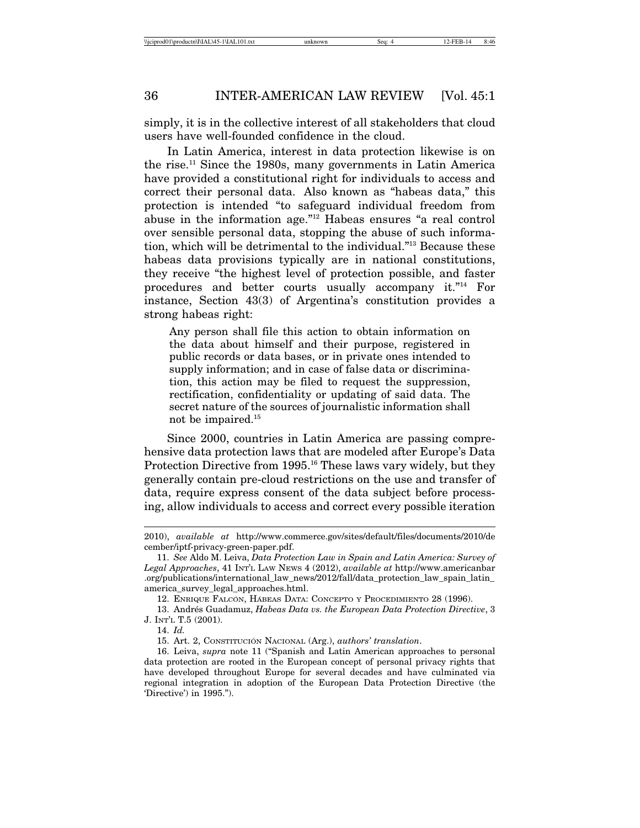simply, it is in the collective interest of all stakeholders that cloud users have well-founded confidence in the cloud.

In Latin America, interest in data protection likewise is on the rise.11 Since the 1980s, many governments in Latin America have provided a constitutional right for individuals to access and correct their personal data. Also known as "habeas data," this protection is intended "to safeguard individual freedom from abuse in the information age."12 Habeas ensures "a real control over sensible personal data, stopping the abuse of such information, which will be detrimental to the individual."13 Because these habeas data provisions typically are in national constitutions, they receive "the highest level of protection possible, and faster procedures and better courts usually accompany it."14 For instance, Section 43(3) of Argentina's constitution provides a strong habeas right:

Any person shall file this action to obtain information on the data about himself and their purpose, registered in public records or data bases, or in private ones intended to supply information; and in case of false data or discrimination, this action may be filed to request the suppression, rectification, confidentiality or updating of said data. The secret nature of the sources of journalistic information shall not be impaired.15

Since 2000, countries in Latin America are passing comprehensive data protection laws that are modeled after Europe's Data Protection Directive from 1995.<sup>16</sup> These laws vary widely, but they generally contain pre-cloud restrictions on the use and transfer of data, require express consent of the data subject before processing, allow individuals to access and correct every possible iteration

<sup>2010),</sup> *available at* http://www.commerce.gov/sites/default/files/documents/2010/de cember/iptf-privacy-green-paper.pdf.

<sup>11.</sup> *See* Aldo M. Leiva, *Data Protection Law in Spain and Latin America: Survey of Legal Approaches*, 41 INT'L LAW NEWS 4 (2012), *available at* http://www.americanbar .org/publications/international\_law\_news/2012/fall/data\_protection\_law\_spain\_latin\_ america\_survey\_legal\_approaches.html.

<sup>12.</sup> ENRIQUE FALCÓN, HÁBEAS DATA: CONCEPTO Y PROCEDIMIENTO 28 (1996).

<sup>13.</sup> Andr´es Guadamuz, *Habeas Data vs. the European Data Protection Directive*, 3 J. INT'L T.5 (2001).

<sup>14.</sup> *Id.*

<sup>15.</sup> Art. 2, CONSTITUCION´ NACIONAL (Arg.), *authors' translation*.

<sup>16.</sup> Leiva, *supra* note 11 ("Spanish and Latin American approaches to personal data protection are rooted in the European concept of personal privacy rights that have developed throughout Europe for several decades and have culminated via regional integration in adoption of the European Data Protection Directive (the 'Directive') in 1995.").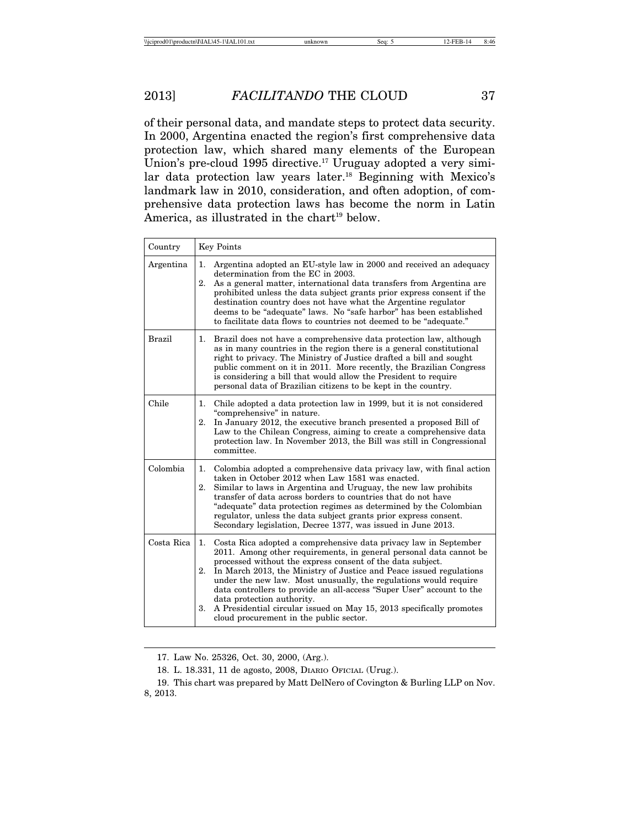of their personal data, and mandate steps to protect data security. In 2000, Argentina enacted the region's first comprehensive data protection law, which shared many elements of the European Union's pre-cloud 1995 directive.<sup>17</sup> Uruguay adopted a very similar data protection law years later.18 Beginning with Mexico's landmark law in 2010, consideration, and often adoption, of comprehensive data protection laws has become the norm in Latin America, as illustrated in the chart<sup>19</sup> below.

| Country       | <b>Key Points</b>                                                                                                                                                                                                                                                                                                                                                                                                                                                                                                                                                                           |  |  |  |  |  |
|---------------|---------------------------------------------------------------------------------------------------------------------------------------------------------------------------------------------------------------------------------------------------------------------------------------------------------------------------------------------------------------------------------------------------------------------------------------------------------------------------------------------------------------------------------------------------------------------------------------------|--|--|--|--|--|
| Argentina     | Argentina adopted an EU-style law in 2000 and received an adequacy<br>1.<br>determination from the EC in 2003.<br>2.<br>As a general matter, international data transfers from Argentina are<br>prohibited unless the data subject grants prior express consent if the<br>destination country does not have what the Argentine regulator<br>deems to be "adequate" laws. No "safe harbor" has been established<br>to facilitate data flows to countries not deemed to be "adequate."                                                                                                        |  |  |  |  |  |
| <b>Brazil</b> | Brazil does not have a comprehensive data protection law, although<br>1.<br>as in many countries in the region there is a general constitutional<br>right to privacy. The Ministry of Justice drafted a bill and sought<br>public comment on it in 2011. More recently, the Brazilian Congress<br>is considering a bill that would allow the President to require<br>personal data of Brazilian citizens to be kept in the country.                                                                                                                                                         |  |  |  |  |  |
| Chile         | Chile adopted a data protection law in 1999, but it is not considered<br>1.<br>"comprehensive" in nature.<br>In January 2012, the executive branch presented a proposed Bill of<br>2.<br>Law to the Chilean Congress, aiming to create a comprehensive data<br>protection law. In November 2013, the Bill was still in Congressional<br>committee.                                                                                                                                                                                                                                          |  |  |  |  |  |
| Colombia      | Colombia adopted a comprehensive data privacy law, with final action<br>1.<br>taken in October 2012 when Law 1581 was enacted.<br>2.<br>Similar to laws in Argentina and Uruguay, the new law prohibits<br>transfer of data across borders to countries that do not have<br>"adequate" data protection regimes as determined by the Colombian<br>regulator, unless the data subject grants prior express consent.<br>Secondary legislation, Decree 1377, was issued in June 2013.                                                                                                           |  |  |  |  |  |
| Costa Rica    | Costa Rica adopted a comprehensive data privacy law in September<br>1.<br>2011. Among other requirements, in general personal data cannot be<br>processed without the express consent of the data subject.<br>2.<br>In March 2013, the Ministry of Justice and Peace issued regulations<br>under the new law. Most unusually, the regulations would require<br>data controllers to provide an all-access "Super User" account to the<br>data protection authority.<br>3.<br>A Presidential circular issued on May 15, 2013 specifically promotes<br>cloud procurement in the public sector. |  |  |  |  |  |

17. Law No. 25326, Oct. 30, 2000, (Arg.).

<sup>18.</sup> L. 18.331, 11 de agosto, 2008, DIARIO OFICIAL (Urug.).

<sup>19.</sup> This chart was prepared by Matt DelNero of Covington & Burling LLP on Nov. 8, 2013.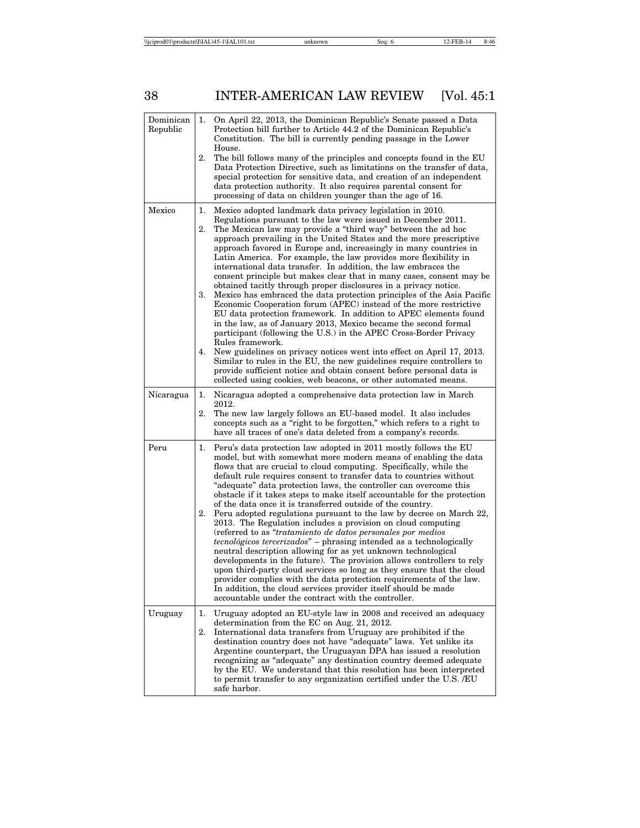| Dominican<br>Republic | 1.                   | On April 22, 2013, the Dominican Republic's Senate passed a Data<br>Protection bill further to Article 44.2 of the Dominican Republic's<br>Constitution. The bill is currently pending passage in the Lower<br>House.                                                                                                                                                                                                                                                                                                                                                                                                                                                                                                                                                                                                                                                                                                                                                                                                                                                                                                                                                                                                                                                                               |
|-----------------------|----------------------|-----------------------------------------------------------------------------------------------------------------------------------------------------------------------------------------------------------------------------------------------------------------------------------------------------------------------------------------------------------------------------------------------------------------------------------------------------------------------------------------------------------------------------------------------------------------------------------------------------------------------------------------------------------------------------------------------------------------------------------------------------------------------------------------------------------------------------------------------------------------------------------------------------------------------------------------------------------------------------------------------------------------------------------------------------------------------------------------------------------------------------------------------------------------------------------------------------------------------------------------------------------------------------------------------------|
|                       | 2.                   | The bill follows many of the principles and concepts found in the EU<br>Data Protection Directive, such as limitations on the transfer of data,<br>special protection for sensitive data, and creation of an independent<br>data protection authority. It also requires parental consent for<br>processing of data on children younger than the age of 16.                                                                                                                                                                                                                                                                                                                                                                                                                                                                                                                                                                                                                                                                                                                                                                                                                                                                                                                                          |
| Mexico                | 1.<br>2.<br>3.<br>4. | Mexico adopted landmark data privacy legislation in 2010.<br>Regulations pursuant to the law were issued in December 2011.<br>The Mexican law may provide a "third way" between the ad hoc<br>approach prevailing in the United States and the more prescriptive<br>approach favored in Europe and, increasingly in many countries in<br>Latin America. For example, the law provides more flexibility in<br>international data transfer. In addition, the law embraces the<br>consent principle but makes clear that in many cases, consent may be<br>obtained tacitly through proper disclosures in a privacy notice.<br>Mexico has embraced the data protection principles of the Asia Pacific<br>Economic Cooperation forum (APEC) instead of the more restrictive<br>EU data protection framework. In addition to APEC elements found<br>in the law, as of January 2013, Mexico became the second formal<br>participant (following the U.S.) in the APEC Cross-Border Privacy<br>Rules framework.<br>New guidelines on privacy notices went into effect on April 17, 2013.<br>Similar to rules in the EU, the new guidelines require controllers to<br>provide sufficient notice and obtain consent before personal data is<br>collected using cookies, web beacons, or other automated means. |
| Nicaragua             | 1.<br>2.             | Nicaragua adopted a comprehensive data protection law in March<br>2012.<br>The new law largely follows an EU-based model. It also includes<br>concepts such as a "right to be forgotten," which refers to a right to<br>have all traces of one's data deleted from a company's records.                                                                                                                                                                                                                                                                                                                                                                                                                                                                                                                                                                                                                                                                                                                                                                                                                                                                                                                                                                                                             |
| Peru                  | 1.<br>2.             | Peru's data protection law adopted in 2011 mostly follows the EU<br>model, but with somewhat more modern means of enabling the data<br>flows that are crucial to cloud computing. Specifically, while the<br>default rule requires consent to transfer data to countries without<br>"adequate" data protection laws, the controller can overcome this<br>obstacle if it takes steps to make itself accountable for the protection<br>of the data once it is transferred outside of the country.<br>Peru adopted regulations pursuant to the law by decree on March 22,<br>2013. The Regulation includes a provision on cloud computing<br>(referred to as "tratamiento de datos personales por medios<br><i>tecnológicos tercerizados</i> " – phrasing intended as a technologically<br>neutral description allowing for as yet unknown technological<br>developments in the future). The provision allows controllers to rely<br>upon third-party cloud services so long as they ensure that the cloud<br>provider complies with the data protection requirements of the law.<br>In addition, the cloud services provider itself should be made<br>accountable under the contract with the controller.                                                                                             |
| Uruguay               | 1.<br>2.             | Uruguay adopted an EU-style law in 2008 and received an adequacy<br>determination from the EC on Aug. 21, 2012.<br>International data transfers from Uruguay are prohibited if the<br>destination country does not have "adequate" laws. Yet unlike its<br>Argentine counterpart, the Uruguayan DPA has issued a resolution<br>recognizing as "adequate" any destination country deemed adequate<br>by the EU. We understand that this resolution has been interpreted<br>to permit transfer to any organization certified under the U.S. /EU<br>safe harbor.                                                                                                                                                                                                                                                                                                                                                                                                                                                                                                                                                                                                                                                                                                                                       |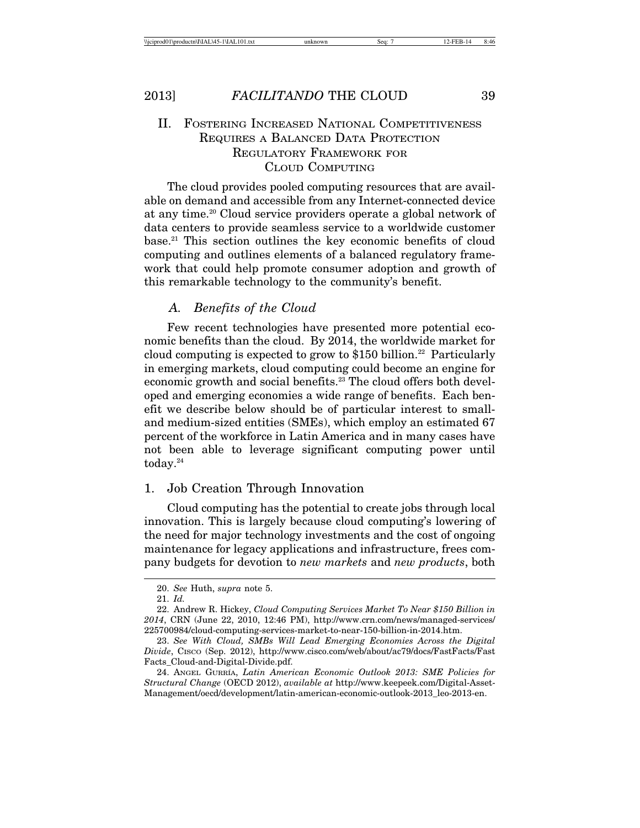# II. FOSTERING INCREASED NATIONAL COMPETITIVENESS REQUIRES A BALANCED DATA PROTECTION REGULATORY FRAMEWORK FOR CLOUD COMPUTING

The cloud provides pooled computing resources that are available on demand and accessible from any Internet-connected device at any time.<sup>20</sup> Cloud service providers operate a global network of data centers to provide seamless service to a worldwide customer base.21 This section outlines the key economic benefits of cloud computing and outlines elements of a balanced regulatory framework that could help promote consumer adoption and growth of this remarkable technology to the community's benefit.

### *A. Benefits of the Cloud*

Few recent technologies have presented more potential economic benefits than the cloud. By 2014, the worldwide market for cloud computing is expected to grow to  $$150$  billion.<sup>22</sup> Particularly in emerging markets, cloud computing could become an engine for economic growth and social benefits.<sup>23</sup> The cloud offers both developed and emerging economies a wide range of benefits. Each benefit we describe below should be of particular interest to smalland medium-sized entities (SMEs), which employ an estimated 67 percent of the workforce in Latin America and in many cases have not been able to leverage significant computing power until today. $24$ 

# 1. Job Creation Through Innovation

Cloud computing has the potential to create jobs through local innovation. This is largely because cloud computing's lowering of the need for major technology investments and the cost of ongoing maintenance for legacy applications and infrastructure, frees company budgets for devotion to *new markets* and *new products*, both

<sup>20.</sup> *See* Huth, *supra* note 5.

<sup>21.</sup> *Id.*

<sup>22.</sup> Andrew R. Hickey, *Cloud Computing Services Market To Near \$150 Billion in 2014*, CRN (June 22, 2010, 12:46 PM), http://www.crn.com/news/managed-services/ 225700984/cloud-computing-services-market-to-near-150-billion-in-2014.htm.

<sup>23.</sup> *See With Cloud, SMBs Will Lead Emerging Economies Across the Digital Divide*, CISCO (Sep. 2012), http://www.cisco.com/web/about/ac79/docs/FastFacts/Fast Facts\_Cloud-and-Digital-Divide.pdf.

<sup>24.</sup> ANGEL GURRÍA, Latin American Economic Outlook 2013: SME Policies for *Structural Change* (OECD 2012), *available at* http://www.keepeek.com/Digital-Asset-Management/oecd/development/latin-american-economic-outlook-2013\_leo-2013-en.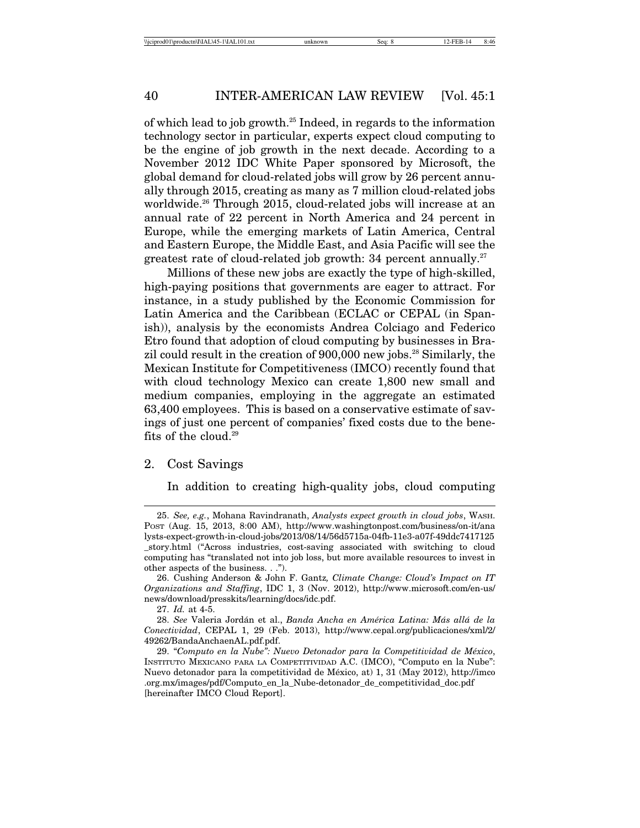of which lead to job growth.25 Indeed, in regards to the information technology sector in particular, experts expect cloud computing to be the engine of job growth in the next decade. According to a November 2012 IDC White Paper sponsored by Microsoft, the global demand for cloud-related jobs will grow by 26 percent annually through 2015, creating as many as 7 million cloud-related jobs worldwide.<sup>26</sup> Through 2015, cloud-related jobs will increase at an annual rate of 22 percent in North America and 24 percent in Europe, while the emerging markets of Latin America, Central and Eastern Europe, the Middle East, and Asia Pacific will see the greatest rate of cloud-related job growth: 34 percent annually.<sup>27</sup>

Millions of these new jobs are exactly the type of high-skilled, high-paying positions that governments are eager to attract. For instance, in a study published by the Economic Commission for Latin America and the Caribbean (ECLAC or CEPAL (in Spanish)), analysis by the economists Andrea Colciago and Federico Etro found that adoption of cloud computing by businesses in Brazil could result in the creation of 900,000 new jobs.<sup>28</sup> Similarly, the Mexican Institute for Competitiveness (IMCO) recently found that with cloud technology Mexico can create 1,800 new small and medium companies, employing in the aggregate an estimated 63,400 employees. This is based on a conservative estimate of savings of just one percent of companies' fixed costs due to the benefits of the cloud.29

#### 2. Cost Savings

In addition to creating high-quality jobs, cloud computing

<sup>25.</sup> *See, e.g.*, Mohana Ravindranath, *Analysts expect growth in cloud jobs*, WASH. POST (Aug. 15, 2013, 8:00 AM), http://www.washingtonpost.com/business/on-it/ana lysts-expect-growth-in-cloud-jobs/2013/08/14/56d5715a-04fb-11e3-a07f-49ddc7417125 \_story.html ("Across industries, cost-saving associated with switching to cloud computing has "translated not into job loss, but more available resources to invest in other aspects of the business. . .").

<sup>26.</sup> Cushing Anderson & John F. Gantz*, Climate Change: Cloud's Impact on IT Organizations and Staffing*, IDC 1, 3 (Nov. 2012), http://www.microsoft.com/en-us/ news/download/presskits/learning/docs/idc.pdf.

<sup>27.</sup> *Id.* at 4-5.

<sup>28.</sup> *See* Valeria Jord´an et al., *Banda Ancha en Am´erica Latina: M´as all´a de la Conectividad*, CEPAL 1, 29 (Feb. 2013), http://www.cepal.org/publicaciones/xml/2/ 49262/BandaAnchaenAL.pdf.pdf.

<sup>29. &</sup>quot;Computo en la Nube": Nuevo Detonador para la Competitividad de México, INSTITUTO MEXICANO PARA LA COMPETITIVIDAD A.C. (IMCO), "Computo en la Nube": Nuevo detonador para la competitividad de México, at) 1, 31 (May 2012), http://imco .org.mx/images/pdf/Computo\_en\_la\_Nube-detonador\_de\_competitividad\_doc.pdf [hereinafter IMCO Cloud Report].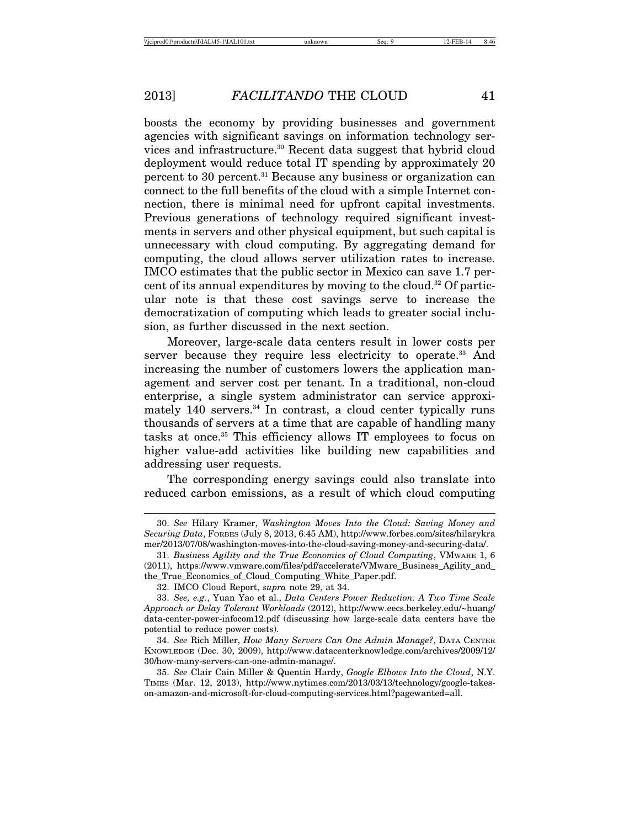boosts the economy by providing businesses and government agencies with significant savings on information technology services and infrastructure.30 Recent data suggest that hybrid cloud deployment would reduce total IT spending by approximately 20 percent to 30 percent.<sup>31</sup> Because any business or organization can connect to the full benefits of the cloud with a simple Internet connection, there is minimal need for upfront capital investments. Previous generations of technology required significant investments in servers and other physical equipment, but such capital is unnecessary with cloud computing. By aggregating demand for computing, the cloud allows server utilization rates to increase. IMCO estimates that the public sector in Mexico can save 1.7 percent of its annual expenditures by moving to the cloud.32 Of particular note is that these cost savings serve to increase the democratization of computing which leads to greater social inclusion, as further discussed in the next section.

Moreover, large-scale data centers result in lower costs per server because they require less electricity to operate.<sup>33</sup> And increasing the number of customers lowers the application management and server cost per tenant. In a traditional, non-cloud enterprise, a single system administrator can service approximately  $140$  servers.<sup>34</sup> In contrast, a cloud center typically runs thousands of servers at a time that are capable of handling many tasks at once.35 This efficiency allows IT employees to focus on higher value-add activities like building new capabilities and addressing user requests.

The corresponding energy savings could also translate into reduced carbon emissions, as a result of which cloud computing

<sup>30.</sup> *See* Hilary Kramer, *Washington Moves Into the Cloud: Saving Money and Securing Data*, FORBES (July 8, 2013, 6:45 AM), http://www.forbes.com/sites/hilarykra mer/2013/07/08/washington-moves-into-the-cloud-saving-money-and-securing-data/.

<sup>31.</sup> *Business Agility and the True Economics of Cloud Computing*, VMWARE 1, 6 (2011), https://www.vmware.com/files/pdf/accelerate/VMware\_Business\_Agility\_and\_ the\_True\_Economics\_of\_Cloud\_Computing\_White\_Paper.pdf.

<sup>32.</sup> IMCO Cloud Report, *supra* note 29, at 34.

<sup>33.</sup> *See, e.g.*, Yuan Yao et al., *Data Centers Power Reduction: A Two Time Scale Approach or Delay Tolerant Workloads* (2012), http://www.eecs.berkeley.edu/~huang/ data-center-power-infocom12.pdf (discussing how large-scale data centers have the potential to reduce power costs).

<sup>34.</sup> *See* Rich Miller, *How Many Servers Can One Admin Manage?*, DATA CENTER KNOWLEDGE (Dec. 30, 2009), http://www.datacenterknowledge.com/archives/2009/12/ 30/how-many-servers-can-one-admin-manage/.

<sup>35.</sup> *See* Clair Cain Miller & Quentin Hardy, *Google Elbows Into the Cloud*, N.Y. TIMES (Mar. 12, 2013), http://www.nytimes.com/2013/03/13/technology/google-takeson-amazon-and-microsoft-for-cloud-computing-services.html?pagewanted=all.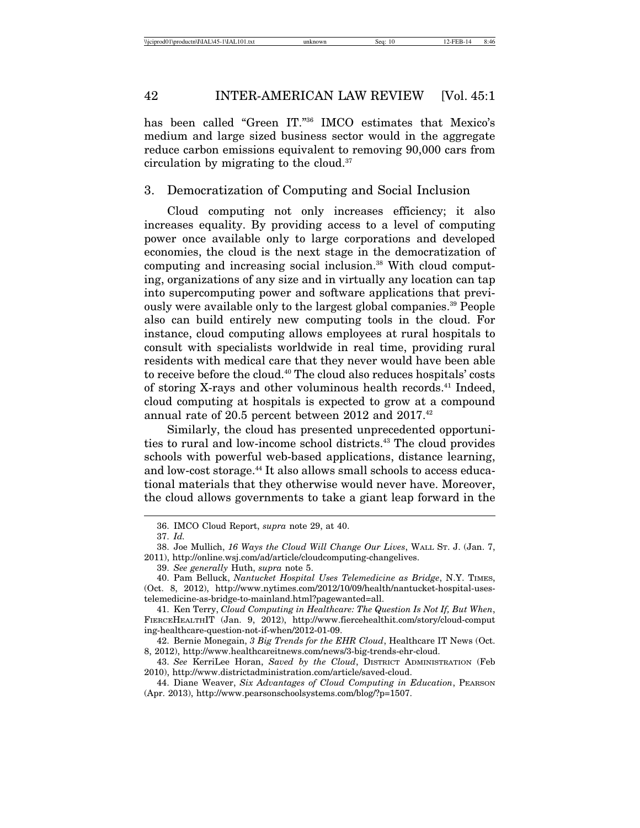has been called "Green IT."<sup>36</sup> IMCO estimates that Mexico's medium and large sized business sector would in the aggregate reduce carbon emissions equivalent to removing 90,000 cars from circulation by migrating to the cloud.37

3. Democratization of Computing and Social Inclusion

Cloud computing not only increases efficiency; it also increases equality. By providing access to a level of computing power once available only to large corporations and developed economies, the cloud is the next stage in the democratization of computing and increasing social inclusion.38 With cloud computing, organizations of any size and in virtually any location can tap into supercomputing power and software applications that previously were available only to the largest global companies.39 People also can build entirely new computing tools in the cloud. For instance, cloud computing allows employees at rural hospitals to consult with specialists worldwide in real time, providing rural residents with medical care that they never would have been able to receive before the cloud.40 The cloud also reduces hospitals' costs of storing X-rays and other voluminous health records.41 Indeed, cloud computing at hospitals is expected to grow at a compound annual rate of 20.5 percent between 2012 and 2017.<sup>42</sup>

Similarly, the cloud has presented unprecedented opportunities to rural and low-income school districts.43 The cloud provides schools with powerful web-based applications, distance learning, and low-cost storage.<sup>44</sup> It also allows small schools to access educational materials that they otherwise would never have. Moreover, the cloud allows governments to take a giant leap forward in the

<sup>36.</sup> IMCO Cloud Report, *supra* note 29, at 40.

<sup>37.</sup> *Id.*

<sup>38.</sup> Joe Mullich, *16 Ways the Cloud Will Change Our Lives*, WALL ST. J. (Jan. 7, 2011), http://online.wsj.com/ad/article/cloudcomputing-changelives.

<sup>39.</sup> *See generally* Huth, *supra* note 5.

<sup>40.</sup> Pam Belluck, *Nantucket Hospital Uses Telemedicine as Bridge*, N.Y. TIMES, (Oct. 8, 2012), http://www.nytimes.com/2012/10/09/health/nantucket-hospital-usestelemedicine-as-bridge-to-mainland.html?pagewanted=all.

<sup>41.</sup> Ken Terry, *Cloud Computing in Healthcare: The Question Is Not If, But When*, FIERCEHEALTHIT (Jan. 9, 2012), http://www.fiercehealthit.com/story/cloud-comput ing-healthcare-question-not-if-when/2012-01-09.

<sup>42.</sup> Bernie Monegain, *3 Big Trends for the EHR Cloud*, Healthcare IT News (Oct. 8, 2012), http://www.healthcareitnews.com/news/3-big-trends-ehr-cloud.

<sup>43.</sup> *See* KerriLee Horan, *Saved by the Cloud*, DISTRICT ADMINISTRATION (Feb 2010), http://www.districtadministration.com/article/saved-cloud.

<sup>44.</sup> Diane Weaver, *Six Advantages of Cloud Computing in Education*, PEARSON (Apr. 2013), http://www.pearsonschoolsystems.com/blog/?p=1507.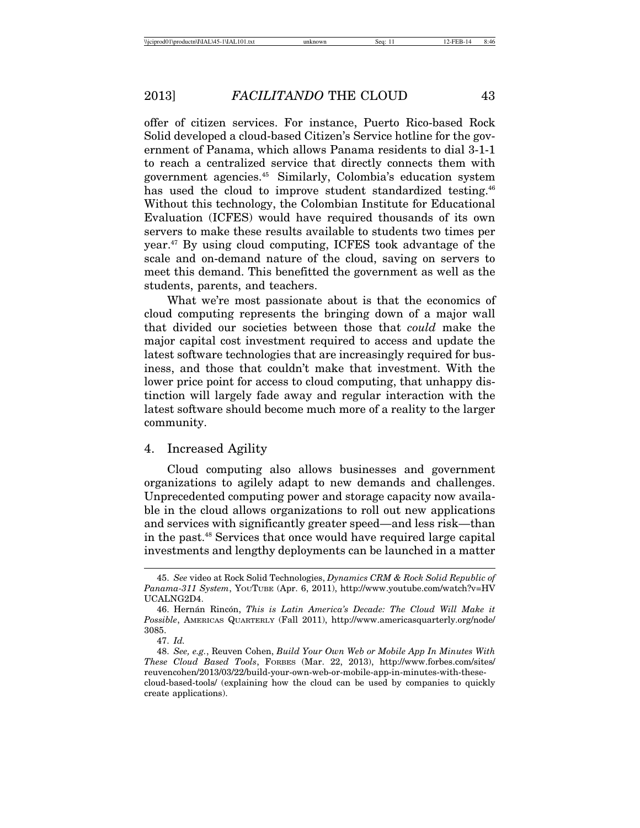offer of citizen services. For instance, Puerto Rico-based Rock Solid developed a cloud-based Citizen's Service hotline for the government of Panama, which allows Panama residents to dial 3-1-1 to reach a centralized service that directly connects them with government agencies.45 Similarly, Colombia's education system has used the cloud to improve student standardized testing.<sup>46</sup> Without this technology, the Colombian Institute for Educational Evaluation (ICFES) would have required thousands of its own servers to make these results available to students two times per year.47 By using cloud computing, ICFES took advantage of the scale and on-demand nature of the cloud, saving on servers to meet this demand. This benefitted the government as well as the students, parents, and teachers.

What we're most passionate about is that the economics of cloud computing represents the bringing down of a major wall that divided our societies between those that *could* make the major capital cost investment required to access and update the latest software technologies that are increasingly required for business, and those that couldn't make that investment. With the lower price point for access to cloud computing, that unhappy distinction will largely fade away and regular interaction with the latest software should become much more of a reality to the larger community.

#### 4. Increased Agility

Cloud computing also allows businesses and government organizations to agilely adapt to new demands and challenges. Unprecedented computing power and storage capacity now available in the cloud allows organizations to roll out new applications and services with significantly greater speed—and less risk—than in the past.48 Services that once would have required large capital investments and lengthy deployments can be launched in a matter

<sup>45.</sup> *See* video at Rock Solid Technologies, *Dynamics CRM & Rock Solid Republic of Panama-311 System*, YOUTUBE (Apr. 6, 2011), http://www.youtube.com/watch?v=HV UCALNG2D4.

<sup>46.</sup> Hern´an Rinc´on, *This is Latin America's Decade: The Cloud Will Make it Possible*, AMERICAS QUARTERLY (Fall 2011), http://www.americasquarterly.org/node/ 3085.

<sup>47.</sup> *Id.*

<sup>48.</sup> *See, e.g.*, Reuven Cohen, *Build Your Own Web or Mobile App In Minutes With These Cloud Based Tools*, FORBES (Mar. 22, 2013), http://www.forbes.com/sites/ reuvencohen/2013/03/22/build-your-own-web-or-mobile-app-in-minutes-with-thesecloud-based-tools/ (explaining how the cloud can be used by companies to quickly create applications).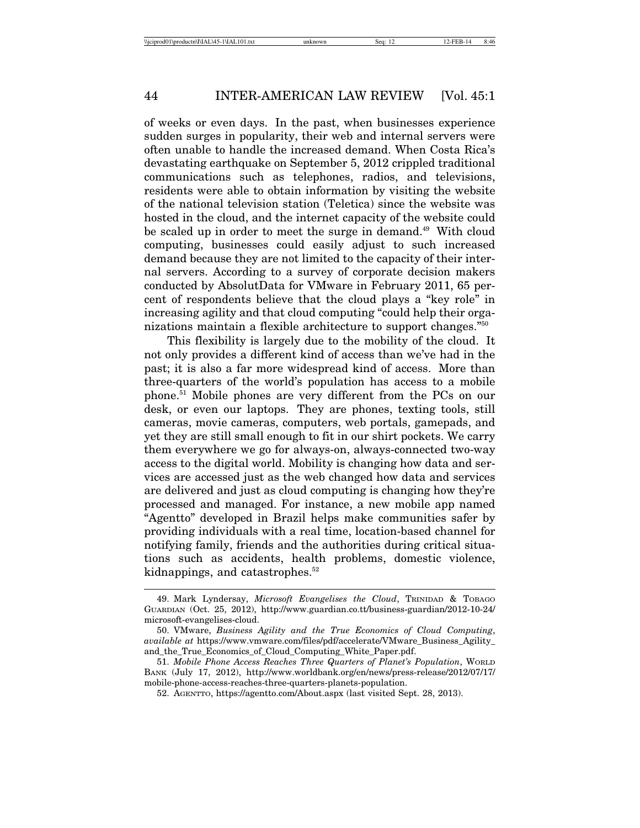of weeks or even days. In the past, when businesses experience sudden surges in popularity, their web and internal servers were often unable to handle the increased demand. When Costa Rica's devastating earthquake on September 5, 2012 crippled traditional communications such as telephones, radios, and televisions, residents were able to obtain information by visiting the website of the national television station (Teletica) since the website was hosted in the cloud, and the internet capacity of the website could be scaled up in order to meet the surge in demand.<sup>49</sup> With cloud computing, businesses could easily adjust to such increased demand because they are not limited to the capacity of their internal servers. According to a survey of corporate decision makers conducted by AbsolutData for VMware in February 2011, 65 percent of respondents believe that the cloud plays a "key role" in increasing agility and that cloud computing "could help their organizations maintain a flexible architecture to support changes."50

This flexibility is largely due to the mobility of the cloud. It not only provides a different kind of access than we've had in the past; it is also a far more widespread kind of access. More than three-quarters of the world's population has access to a mobile phone.51 Mobile phones are very different from the PCs on our desk, or even our laptops. They are phones, texting tools, still cameras, movie cameras, computers, web portals, gamepads, and yet they are still small enough to fit in our shirt pockets. We carry them everywhere we go for always-on, always-connected two-way access to the digital world. Mobility is changing how data and services are accessed just as the web changed how data and services are delivered and just as cloud computing is changing how they're processed and managed. For instance, a new mobile app named "Agentto" developed in Brazil helps make communities safer by providing individuals with a real time, location-based channel for notifying family, friends and the authorities during critical situations such as accidents, health problems, domestic violence, kidnappings, and catastrophes.<sup>52</sup>

<sup>49.</sup> Mark Lyndersay, *Microsoft Evangelises the Cloud*, TRINIDAD & TOBAGO GUARDIAN (Oct. 25, 2012), http://www.guardian.co.tt/business-guardian/2012-10-24/ microsoft-evangelises-cloud.

<sup>50.</sup> VMware, *Business Agility and the True Economics of Cloud Computing*, *available at* https://www.vmware.com/files/pdf/accelerate/VMware\_Business\_Agility\_ and\_the\_True\_Economics\_of\_Cloud\_Computing\_White\_Paper.pdf.

<sup>51.</sup> *Mobile Phone Access Reaches Three Quarters of Planet's Population*, WORLD BANK (July 17, 2012), http://www.worldbank.org/en/news/press-release/2012/07/17/ mobile-phone-access-reaches-three-quarters-planets-population.

<sup>52.</sup> AGENTTO, https://agentto.com/About.aspx (last visited Sept. 28, 2013).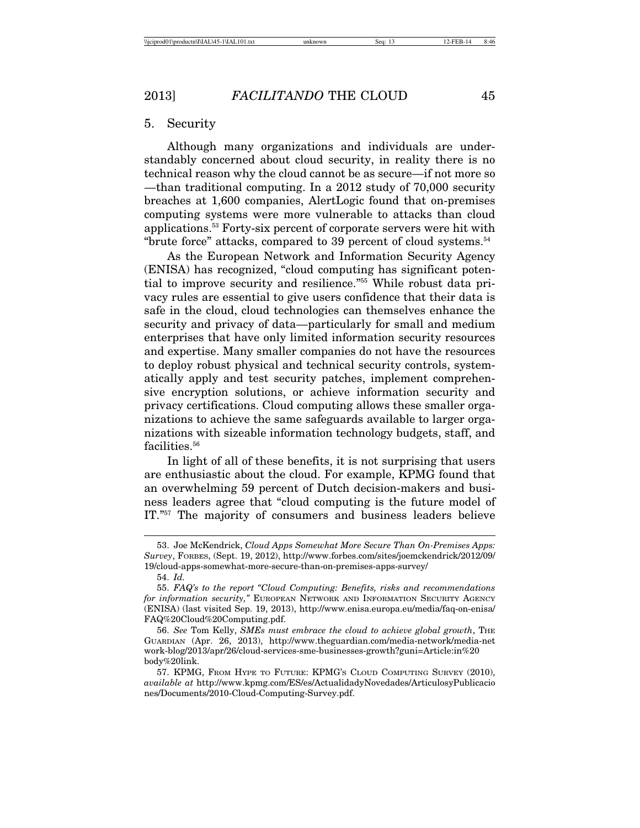#### 5. Security

Although many organizations and individuals are understandably concerned about cloud security, in reality there is no technical reason why the cloud cannot be as secure—if not more so —than traditional computing. In a 2012 study of 70,000 security breaches at 1,600 companies, AlertLogic found that on-premises computing systems were more vulnerable to attacks than cloud applications.53 Forty-six percent of corporate servers were hit with "brute force" attacks, compared to 39 percent of cloud systems.<sup>54</sup>

As the European Network and Information Security Agency (ENISA) has recognized, "cloud computing has significant potential to improve security and resilience."55 While robust data privacy rules are essential to give users confidence that their data is safe in the cloud, cloud technologies can themselves enhance the security and privacy of data—particularly for small and medium enterprises that have only limited information security resources and expertise. Many smaller companies do not have the resources to deploy robust physical and technical security controls, systematically apply and test security patches, implement comprehensive encryption solutions, or achieve information security and privacy certifications. Cloud computing allows these smaller organizations to achieve the same safeguards available to larger organizations with sizeable information technology budgets, staff, and facilities.<sup>56</sup>

In light of all of these benefits, it is not surprising that users are enthusiastic about the cloud. For example, KPMG found that an overwhelming 59 percent of Dutch decision-makers and business leaders agree that "cloud computing is the future model of IT."57 The majority of consumers and business leaders believe

<sup>53.</sup> Joe McKendrick, *Cloud Apps Somewhat More Secure Than On-Premises Apps: Survey*, FORBES, (Sept. 19, 2012), http://www.forbes.com/sites/joemckendrick/2012/09/ 19/cloud-apps-somewhat-more-secure-than-on-premises-apps-survey/

<sup>54.</sup> *Id.*

<sup>55.</sup> *FAQ's to the report "Cloud Computing: Benefits, risks and recommendations for information security,"* EUROPEAN NETWORK AND INFORMATION SECURITY AGENCY (ENISA) (last visited Sep. 19, 2013), http://www.enisa.europa.eu/media/faq-on-enisa/ FAQ%20Cloud%20Computing.pdf.

<sup>56.</sup> *See* Tom Kelly, *SMEs must embrace the cloud to achieve global growth*, THE GUARDIAN (Apr. 26, 2013), http://www.theguardian.com/media-network/media-net work-blog/2013/apr/26/cloud-services-sme-businesses-growth?guni=Article:in%20 body%20link.

<sup>57.</sup> KPMG, FROM HYPE TO FUTURE: KPMG'S CLOUD COMPUTING SURVEY (2010), *available at* http://www.kpmg.com/ES/es/ActualidadyNovedades/ArticulosyPublicacio nes/Documents/2010-Cloud-Computing-Survey.pdf.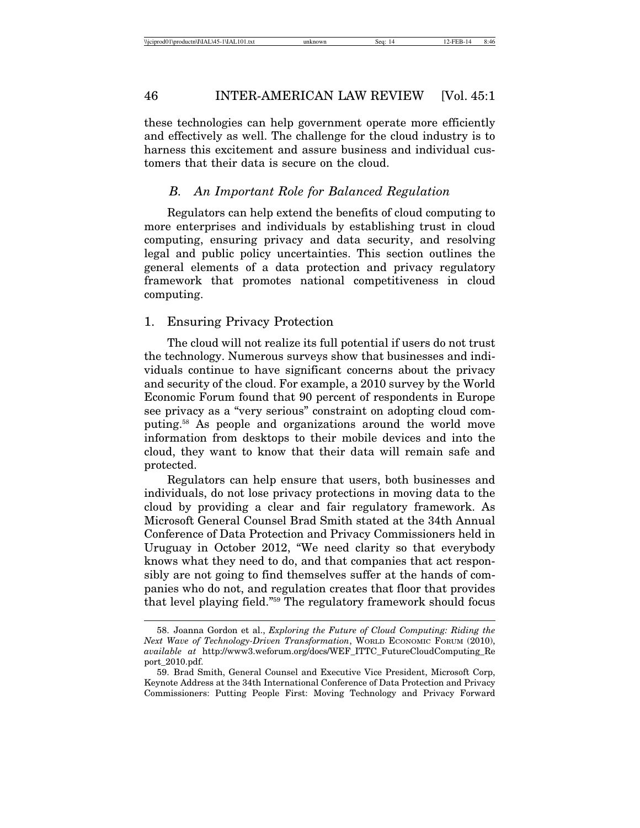these technologies can help government operate more efficiently and effectively as well. The challenge for the cloud industry is to harness this excitement and assure business and individual customers that their data is secure on the cloud.

### *B. An Important Role for Balanced Regulation*

Regulators can help extend the benefits of cloud computing to more enterprises and individuals by establishing trust in cloud computing, ensuring privacy and data security, and resolving legal and public policy uncertainties. This section outlines the general elements of a data protection and privacy regulatory framework that promotes national competitiveness in cloud computing.

### 1. Ensuring Privacy Protection

The cloud will not realize its full potential if users do not trust the technology. Numerous surveys show that businesses and individuals continue to have significant concerns about the privacy and security of the cloud. For example, a 2010 survey by the World Economic Forum found that 90 percent of respondents in Europe see privacy as a "very serious" constraint on adopting cloud computing.58 As people and organizations around the world move information from desktops to their mobile devices and into the cloud, they want to know that their data will remain safe and protected.

Regulators can help ensure that users, both businesses and individuals, do not lose privacy protections in moving data to the cloud by providing a clear and fair regulatory framework. As Microsoft General Counsel Brad Smith stated at the 34th Annual Conference of Data Protection and Privacy Commissioners held in Uruguay in October 2012, "We need clarity so that everybody knows what they need to do, and that companies that act responsibly are not going to find themselves suffer at the hands of companies who do not, and regulation creates that floor that provides that level playing field."59 The regulatory framework should focus

<sup>58.</sup> Joanna Gordon et al., *Exploring the Future of Cloud Computing: Riding the Next Wave of Technology-Driven Transformation*, WORLD ECONOMIC FORUM (2010), *available at* http://www3.weforum.org/docs/WEF\_ITTC\_FutureCloudComputing\_Re port\_2010.pdf.

<sup>59.</sup> Brad Smith, General Counsel and Executive Vice President, Microsoft Corp, Keynote Address at the 34th International Conference of Data Protection and Privacy Commissioners: Putting People First: Moving Technology and Privacy Forward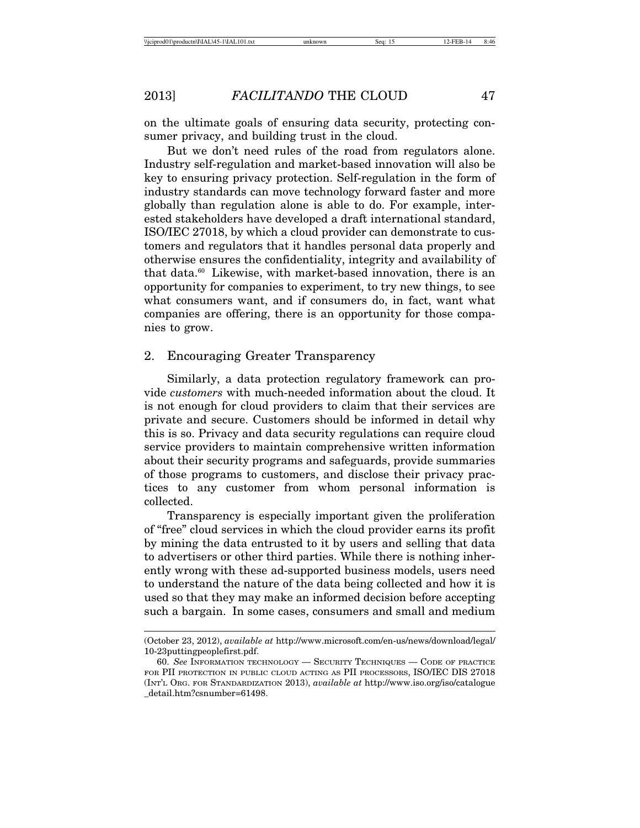on the ultimate goals of ensuring data security, protecting consumer privacy, and building trust in the cloud.

But we don't need rules of the road from regulators alone. Industry self-regulation and market-based innovation will also be key to ensuring privacy protection. Self-regulation in the form of industry standards can move technology forward faster and more globally than regulation alone is able to do. For example, interested stakeholders have developed a draft international standard, ISO/IEC 27018, by which a cloud provider can demonstrate to customers and regulators that it handles personal data properly and otherwise ensures the confidentiality, integrity and availability of that data.<sup>60</sup> Likewise, with market-based innovation, there is an opportunity for companies to experiment, to try new things, to see what consumers want, and if consumers do, in fact, want what companies are offering, there is an opportunity for those companies to grow.

#### 2. Encouraging Greater Transparency

Similarly, a data protection regulatory framework can provide *customers* with much-needed information about the cloud. It is not enough for cloud providers to claim that their services are private and secure. Customers should be informed in detail why this is so. Privacy and data security regulations can require cloud service providers to maintain comprehensive written information about their security programs and safeguards, provide summaries of those programs to customers, and disclose their privacy practices to any customer from whom personal information is collected.

Transparency is especially important given the proliferation of "free" cloud services in which the cloud provider earns its profit by mining the data entrusted to it by users and selling that data to advertisers or other third parties. While there is nothing inherently wrong with these ad-supported business models, users need to understand the nature of the data being collected and how it is used so that they may make an informed decision before accepting such a bargain. In some cases, consumers and small and medium

<sup>(</sup>October 23, 2012), *available at* http://www.microsoft.com/en-us/news/download/legal/ 10-23puttingpeoplefirst.pdf.

<sup>60.</sup> *See* INFORMATION TECHNOLOGY — SECURITY TECHNIQUES — CODE OF PRACTICE FOR PII PROTECTION IN PUBLIC CLOUD ACTING AS PII PROCESSORS, ISO/IEC DIS 27018 (INT'L ORG. FOR STANDARDIZATION 2013), *available at* http://www.iso.org/iso/catalogue \_detail.htm?csnumber=61498.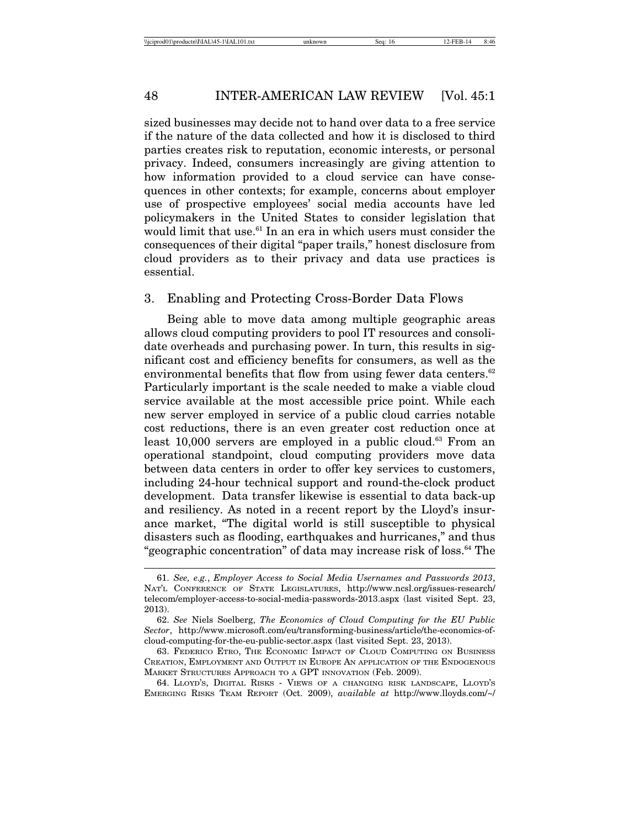sized businesses may decide not to hand over data to a free service if the nature of the data collected and how it is disclosed to third parties creates risk to reputation, economic interests, or personal privacy. Indeed, consumers increasingly are giving attention to how information provided to a cloud service can have consequences in other contexts; for example, concerns about employer use of prospective employees' social media accounts have led policymakers in the United States to consider legislation that would limit that use.<sup>61</sup> In an era in which users must consider the consequences of their digital "paper trails," honest disclosure from cloud providers as to their privacy and data use practices is essential.

#### 3. Enabling and Protecting Cross-Border Data Flows

Being able to move data among multiple geographic areas allows cloud computing providers to pool IT resources and consolidate overheads and purchasing power. In turn, this results in significant cost and efficiency benefits for consumers, as well as the environmental benefits that flow from using fewer data centers.<sup>62</sup> Particularly important is the scale needed to make a viable cloud service available at the most accessible price point. While each new server employed in service of a public cloud carries notable cost reductions, there is an even greater cost reduction once at least 10,000 servers are employed in a public cloud.<sup>63</sup> From an operational standpoint, cloud computing providers move data between data centers in order to offer key services to customers, including 24-hour technical support and round-the-clock product development. Data transfer likewise is essential to data back-up and resiliency. As noted in a recent report by the Lloyd's insurance market, "The digital world is still susceptible to physical disasters such as flooding, earthquakes and hurricanes," and thus "geographic concentration" of data may increase risk of loss.64 The

<sup>61.</sup> *See, e.g.*, *Employer Access to Social Media Usernames and Passwords 2013*, NAT'L CONFERENCE OF STATE LEGISLATURES, http://www.ncsl.org/issues-research/ telecom/employer-access-to-social-media-passwords-2013.aspx (last visited Sept. 23, 2013).

<sup>62.</sup> *See* Niels Soelberg, *The Economics of Cloud Computing for the EU Public Sector*, http://www.microsoft.com/eu/transforming-business/article/the-economics-ofcloud-computing-for-the-eu-public-sector.aspx (last visited Sept. 23, 2013).

<sup>63.</sup> FEDERICO ETRO, THE ECONOMIC IMPACT OF CLOUD COMPUTING ON BUSINESS CREATION, EMPLOYMENT AND OUTPUT IN EUROPE AN APPLICATION OF THE ENDOGENOUS MARKET STRUCTURES APPROACH TO A GPT INNOVATION (Feb. 2009).

<sup>64.</sup> LLOYD'S, DIGITAL RISKS - VIEWS OF A CHANGING RISK LANDSCAPE, LLOYD'S EMERGING RISKS TEAM REPORT (Oct. 2009), *available at* http://www.lloyds.com/~/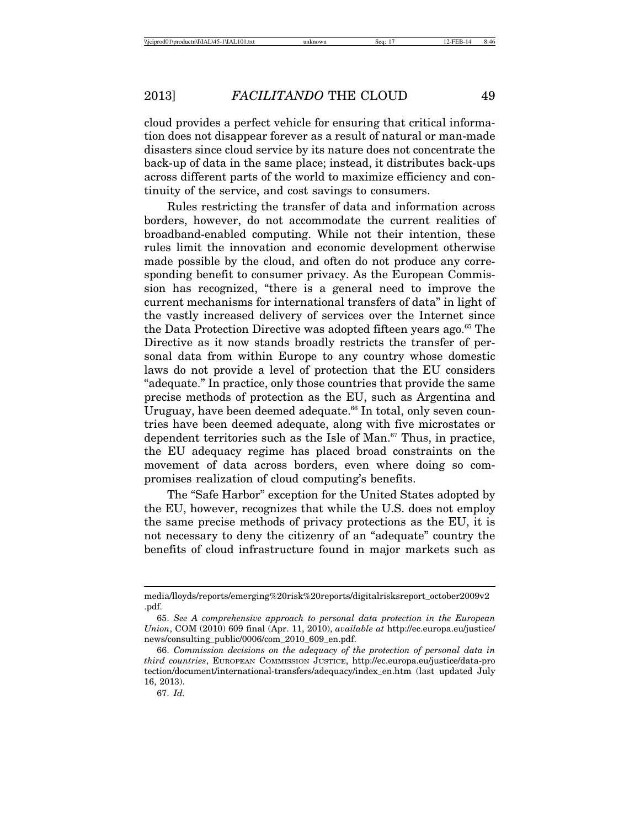cloud provides a perfect vehicle for ensuring that critical information does not disappear forever as a result of natural or man-made disasters since cloud service by its nature does not concentrate the back-up of data in the same place; instead, it distributes back-ups across different parts of the world to maximize efficiency and continuity of the service, and cost savings to consumers.

Rules restricting the transfer of data and information across borders, however, do not accommodate the current realities of broadband-enabled computing. While not their intention, these rules limit the innovation and economic development otherwise made possible by the cloud, and often do not produce any corresponding benefit to consumer privacy. As the European Commission has recognized, "there is a general need to improve the current mechanisms for international transfers of data" in light of the vastly increased delivery of services over the Internet since the Data Protection Directive was adopted fifteen years ago.<sup>65</sup> The Directive as it now stands broadly restricts the transfer of personal data from within Europe to any country whose domestic laws do not provide a level of protection that the EU considers "adequate." In practice, only those countries that provide the same precise methods of protection as the EU, such as Argentina and Uruguay, have been deemed adequate.<sup>66</sup> In total, only seven countries have been deemed adequate, along with five microstates or dependent territories such as the Isle of Man.<sup>67</sup> Thus, in practice, the EU adequacy regime has placed broad constraints on the movement of data across borders, even where doing so compromises realization of cloud computing's benefits.

The "Safe Harbor" exception for the United States adopted by the EU, however, recognizes that while the U.S. does not employ the same precise methods of privacy protections as the EU, it is not necessary to deny the citizenry of an "adequate" country the benefits of cloud infrastructure found in major markets such as

media/lloyds/reports/emerging%20risk%20reports/digitalrisksreport\_october2009v2 .pdf.

<sup>65.</sup> *See A comprehensive approach to personal data protection in the European Union*, COM (2010) 609 final (Apr. 11, 2010), *available at* http://ec.europa.eu/justice/ news/consulting\_public/0006/com\_2010\_609\_en.pdf.

<sup>66.</sup> *Commission decisions on the adequacy of the protection of personal data in third countries*, EUROPEAN COMMISSION JUSTICE, http://ec.europa.eu/justice/data-pro tection/document/international-transfers/adequacy/index\_en.htm (last updated July 16, 2013).

<sup>67.</sup> *Id.*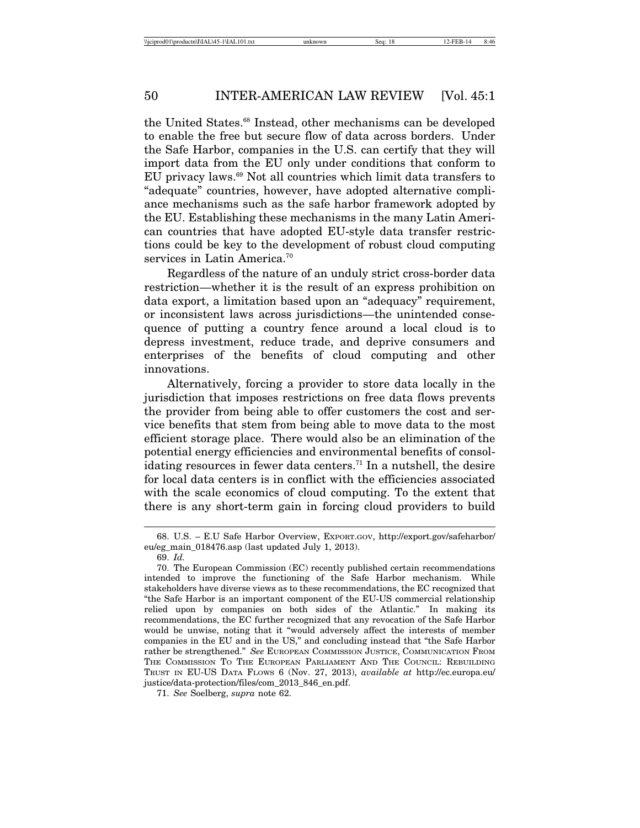the United States.<sup>68</sup> Instead, other mechanisms can be developed to enable the free but secure flow of data across borders. Under the Safe Harbor, companies in the U.S. can certify that they will import data from the EU only under conditions that conform to EU privacy laws.<sup>69</sup> Not all countries which limit data transfers to "adequate" countries, however, have adopted alternative compliance mechanisms such as the safe harbor framework adopted by the EU. Establishing these mechanisms in the many Latin American countries that have adopted EU-style data transfer restrictions could be key to the development of robust cloud computing services in Latin America.<sup>70</sup>

Regardless of the nature of an unduly strict cross-border data restriction—whether it is the result of an express prohibition on data export, a limitation based upon an "adequacy" requirement, or inconsistent laws across jurisdictions—the unintended consequence of putting a country fence around a local cloud is to depress investment, reduce trade, and deprive consumers and enterprises of the benefits of cloud computing and other innovations.

Alternatively, forcing a provider to store data locally in the jurisdiction that imposes restrictions on free data flows prevents the provider from being able to offer customers the cost and service benefits that stem from being able to move data to the most efficient storage place. There would also be an elimination of the potential energy efficiencies and environmental benefits of consolidating resources in fewer data centers.<sup>71</sup> In a nutshell, the desire for local data centers is in conflict with the efficiencies associated with the scale economics of cloud computing. To the extent that there is any short-term gain in forcing cloud providers to build

<sup>68.</sup> U.S. – E.U Safe Harbor Overview, EXPORT.GOV, http://export.gov/safeharbor/ eu/eg\_main\_018476.asp (last updated July 1, 2013).

<sup>69.</sup> *Id.*

<sup>70.</sup> The European Commission (EC) recently published certain recommendations intended to improve the functioning of the Safe Harbor mechanism. While stakeholders have diverse views as to these recommendations, the EC recognized that "the Safe Harbor is an important component of the EU-US commercial relationship relied upon by companies on both sides of the Atlantic." In making its recommendations, the EC further recognized that any revocation of the Safe Harbor would be unwise, noting that it "would adversely affect the interests of member companies in the EU and in the US," and concluding instead that "the Safe Harbor rather be strengthened." *See* EUROPEAN COMMISSION JUSTICE, COMMUNICATION FROM THE COMMISSION TO THE EUROPEAN PARLIAMENT AND THE COUNCIL: REBUILDING TRUST IN EU-US DATA FLOWS 6 (Nov. 27, 2013), *available at* http://ec.europa.eu/ justice/data-protection/files/com\_2013\_846\_en.pdf.

<sup>71.</sup> *See* Soelberg, *supra* note 62.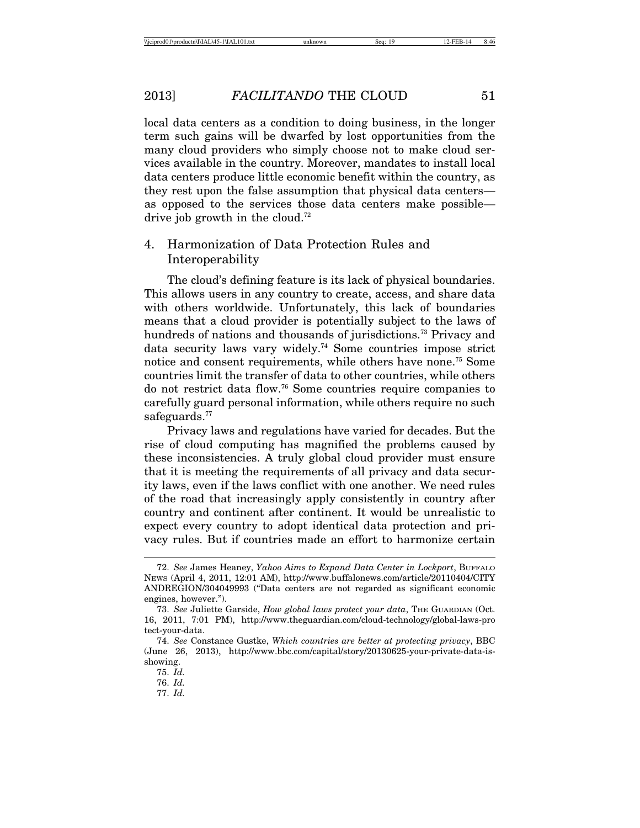local data centers as a condition to doing business, in the longer term such gains will be dwarfed by lost opportunities from the many cloud providers who simply choose not to make cloud services available in the country. Moreover, mandates to install local data centers produce little economic benefit within the country, as they rest upon the false assumption that physical data centers as opposed to the services those data centers make possible drive job growth in the cloud.<sup>72</sup>

# 4. Harmonization of Data Protection Rules and Interoperability

The cloud's defining feature is its lack of physical boundaries. This allows users in any country to create, access, and share data with others worldwide. Unfortunately, this lack of boundaries means that a cloud provider is potentially subject to the laws of hundreds of nations and thousands of jurisdictions.<sup>73</sup> Privacy and data security laws vary widely.74 Some countries impose strict notice and consent requirements, while others have none.75 Some countries limit the transfer of data to other countries, while others do not restrict data flow.76 Some countries require companies to carefully guard personal information, while others require no such safeguards.<sup>77</sup>

Privacy laws and regulations have varied for decades. But the rise of cloud computing has magnified the problems caused by these inconsistencies. A truly global cloud provider must ensure that it is meeting the requirements of all privacy and data security laws, even if the laws conflict with one another. We need rules of the road that increasingly apply consistently in country after country and continent after continent. It would be unrealistic to expect every country to adopt identical data protection and privacy rules. But if countries made an effort to harmonize certain

<sup>72.</sup> *See* James Heaney, *Yahoo Aims to Expand Data Center in Lockport*, BUFFALO NEWS (April 4, 2011, 12:01 AM), http://www.buffalonews.com/article/20110404/CITY ANDREGION/304049993 ("Data centers are not regarded as significant economic engines, however.").

<sup>73.</sup> *See* Juliette Garside, *How global laws protect your data*, THE GUARDIAN (Oct. 16, 2011, 7:01 PM), http://www.theguardian.com/cloud-technology/global-laws-pro tect-your-data.

<sup>74.</sup> *See* Constance Gustke, *Which countries are better at protecting privacy*, BBC (June 26, 2013), http://www.bbc.com/capital/story/20130625-your-private-data-isshowing.

<sup>75.</sup> *Id.*

<sup>76.</sup> *Id.*

<sup>77.</sup> *Id.*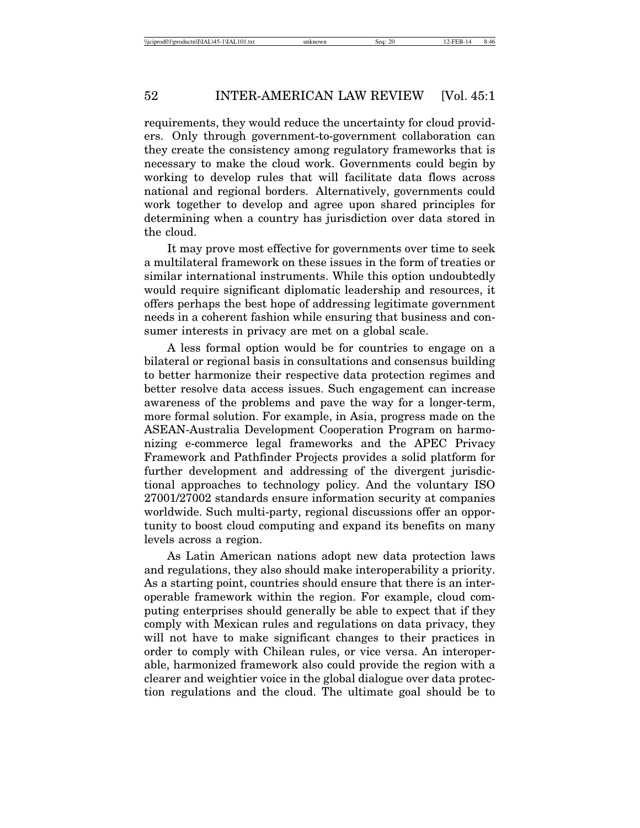requirements, they would reduce the uncertainty for cloud providers. Only through government-to-government collaboration can they create the consistency among regulatory frameworks that is necessary to make the cloud work. Governments could begin by working to develop rules that will facilitate data flows across national and regional borders. Alternatively, governments could work together to develop and agree upon shared principles for determining when a country has jurisdiction over data stored in the cloud.

It may prove most effective for governments over time to seek a multilateral framework on these issues in the form of treaties or similar international instruments. While this option undoubtedly would require significant diplomatic leadership and resources, it offers perhaps the best hope of addressing legitimate government needs in a coherent fashion while ensuring that business and consumer interests in privacy are met on a global scale.

A less formal option would be for countries to engage on a bilateral or regional basis in consultations and consensus building to better harmonize their respective data protection regimes and better resolve data access issues. Such engagement can increase awareness of the problems and pave the way for a longer-term, more formal solution. For example, in Asia, progress made on the ASEAN-Australia Development Cooperation Program on harmonizing e-commerce legal frameworks and the APEC Privacy Framework and Pathfinder Projects provides a solid platform for further development and addressing of the divergent jurisdictional approaches to technology policy. And the voluntary ISO 27001/27002 standards ensure information security at companies worldwide. Such multi-party, regional discussions offer an opportunity to boost cloud computing and expand its benefits on many levels across a region.

As Latin American nations adopt new data protection laws and regulations, they also should make interoperability a priority. As a starting point, countries should ensure that there is an interoperable framework within the region. For example, cloud computing enterprises should generally be able to expect that if they comply with Mexican rules and regulations on data privacy, they will not have to make significant changes to their practices in order to comply with Chilean rules, or vice versa. An interoperable, harmonized framework also could provide the region with a clearer and weightier voice in the global dialogue over data protection regulations and the cloud. The ultimate goal should be to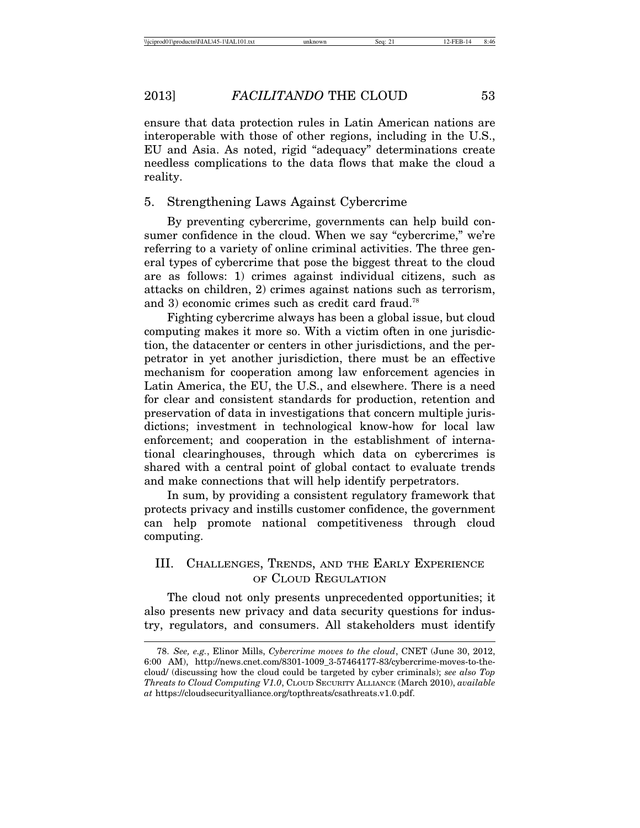ensure that data protection rules in Latin American nations are interoperable with those of other regions, including in the U.S., EU and Asia. As noted, rigid "adequacy" determinations create needless complications to the data flows that make the cloud a reality.

#### 5. Strengthening Laws Against Cybercrime

By preventing cybercrime, governments can help build consumer confidence in the cloud. When we say "cybercrime," we're referring to a variety of online criminal activities. The three general types of cybercrime that pose the biggest threat to the cloud are as follows: 1) crimes against individual citizens, such as attacks on children, 2) crimes against nations such as terrorism, and 3) economic crimes such as credit card fraud.<sup>78</sup>

Fighting cybercrime always has been a global issue, but cloud computing makes it more so. With a victim often in one jurisdiction, the datacenter or centers in other jurisdictions, and the perpetrator in yet another jurisdiction, there must be an effective mechanism for cooperation among law enforcement agencies in Latin America, the EU, the U.S., and elsewhere. There is a need for clear and consistent standards for production, retention and preservation of data in investigations that concern multiple jurisdictions; investment in technological know-how for local law enforcement; and cooperation in the establishment of international clearinghouses, through which data on cybercrimes is shared with a central point of global contact to evaluate trends and make connections that will help identify perpetrators.

In sum, by providing a consistent regulatory framework that protects privacy and instills customer confidence, the government can help promote national competitiveness through cloud computing.

# III. CHALLENGES, TRENDS, AND THE EARLY EXPERIENCE OF CLOUD REGULATION

The cloud not only presents unprecedented opportunities; it also presents new privacy and data security questions for industry, regulators, and consumers. All stakeholders must identify

<sup>78.</sup> *See, e.g.*, Elinor Mills, *Cybercrime moves to the cloud*, CNET (June 30, 2012, 6:00 AM), http://news.cnet.com/8301-1009\_3-57464177-83/cybercrime-moves-to-thecloud/ (discussing how the cloud could be targeted by cyber criminals); *see also Top Threats to Cloud Computing V1.0*, CLOUD SECURITY ALLIANCE (March 2010), *available at* https://cloudsecurityalliance.org/topthreats/csathreats.v1.0.pdf.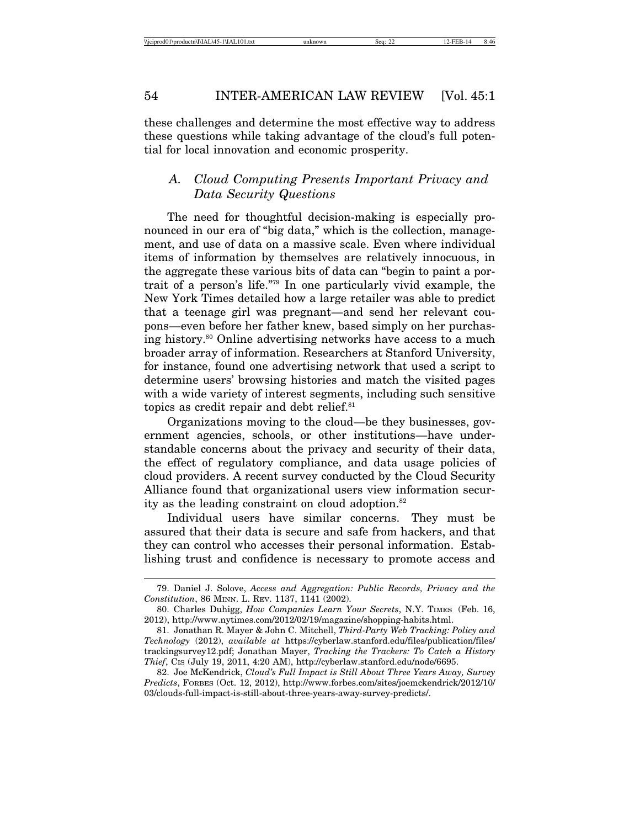these challenges and determine the most effective way to address these questions while taking advantage of the cloud's full potential for local innovation and economic prosperity.

# *A. Cloud Computing Presents Important Privacy and Data Security Questions*

The need for thoughtful decision-making is especially pronounced in our era of "big data," which is the collection, management, and use of data on a massive scale. Even where individual items of information by themselves are relatively innocuous, in the aggregate these various bits of data can "begin to paint a portrait of a person's life."79 In one particularly vivid example, the New York Times detailed how a large retailer was able to predict that a teenage girl was pregnant—and send her relevant coupons—even before her father knew, based simply on her purchasing history.80 Online advertising networks have access to a much broader array of information. Researchers at Stanford University, for instance, found one advertising network that used a script to determine users' browsing histories and match the visited pages with a wide variety of interest segments, including such sensitive topics as credit repair and debt relief.<sup>81</sup>

Organizations moving to the cloud—be they businesses, government agencies, schools, or other institutions—have understandable concerns about the privacy and security of their data, the effect of regulatory compliance, and data usage policies of cloud providers. A recent survey conducted by the Cloud Security Alliance found that organizational users view information security as the leading constraint on cloud adoption.<sup>82</sup>

Individual users have similar concerns. They must be assured that their data is secure and safe from hackers, and that they can control who accesses their personal information. Establishing trust and confidence is necessary to promote access and

<sup>79.</sup> Daniel J. Solove, *Access and Aggregation: Public Records, Privacy and the Constitution*, 86 MINN. L. REV. 1137, 1141 (2002).

<sup>80.</sup> Charles Duhigg, *How Companies Learn Your Secrets*, N.Y. TIMES (Feb. 16, 2012), http://www.nytimes.com/2012/02/19/magazine/shopping-habits.html.

<sup>81.</sup> Jonathan R. Mayer & John C. Mitchell, *Third-Party Web Tracking: Policy and Technology* (2012), *available at* https://cyberlaw.stanford.edu/files/publication/files/ trackingsurvey12.pdf; Jonathan Mayer, *Tracking the Trackers: To Catch a History Thief*, CIS (July 19, 2011, 4:20 AM), http://cyberlaw.stanford.edu/node/6695.

<sup>82.</sup> Joe McKendrick, *Cloud's Full Impact is Still About Three Years Away, Survey Predicts*, FORBES (Oct. 12, 2012), http://www.forbes.com/sites/joemckendrick/2012/10/ 03/clouds-full-impact-is-still-about-three-years-away-survey-predicts/.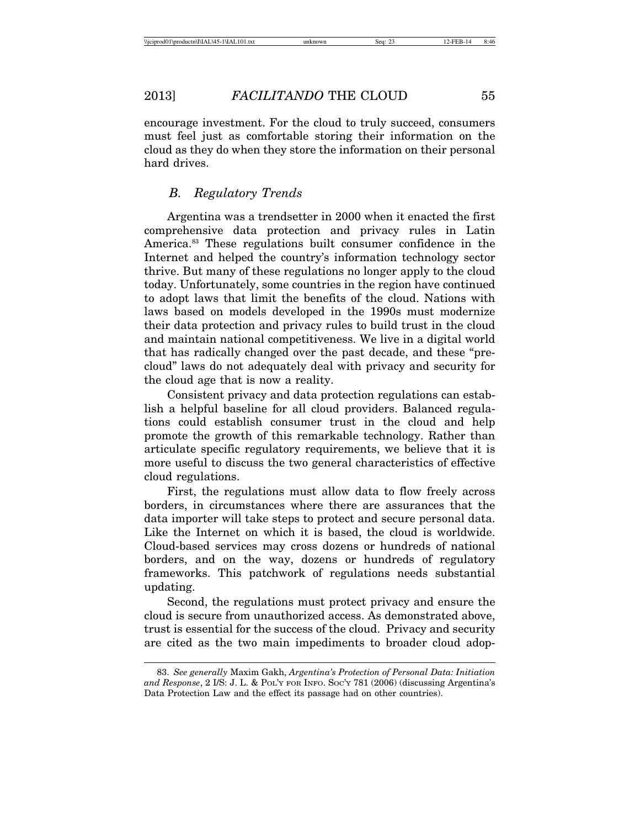encourage investment. For the cloud to truly succeed, consumers must feel just as comfortable storing their information on the cloud as they do when they store the information on their personal hard drives.

#### *B. Regulatory Trends*

Argentina was a trendsetter in 2000 when it enacted the first comprehensive data protection and privacy rules in Latin America.<sup>83</sup> These regulations built consumer confidence in the Internet and helped the country's information technology sector thrive. But many of these regulations no longer apply to the cloud today. Unfortunately, some countries in the region have continued to adopt laws that limit the benefits of the cloud. Nations with laws based on models developed in the 1990s must modernize their data protection and privacy rules to build trust in the cloud and maintain national competitiveness. We live in a digital world that has radically changed over the past decade, and these "precloud" laws do not adequately deal with privacy and security for the cloud age that is now a reality.

Consistent privacy and data protection regulations can establish a helpful baseline for all cloud providers. Balanced regulations could establish consumer trust in the cloud and help promote the growth of this remarkable technology. Rather than articulate specific regulatory requirements, we believe that it is more useful to discuss the two general characteristics of effective cloud regulations.

First, the regulations must allow data to flow freely across borders, in circumstances where there are assurances that the data importer will take steps to protect and secure personal data. Like the Internet on which it is based, the cloud is worldwide. Cloud-based services may cross dozens or hundreds of national borders, and on the way, dozens or hundreds of regulatory frameworks. This patchwork of regulations needs substantial updating.

Second, the regulations must protect privacy and ensure the cloud is secure from unauthorized access. As demonstrated above, trust is essential for the success of the cloud. Privacy and security are cited as the two main impediments to broader cloud adop-

<sup>83.</sup> *See generally* Maxim Gakh, *Argentina's Protection of Personal Data: Initiation and Response*, 2 I/S: J. L. & POL'Y FOR INFO. SOC'Y 781 (2006) (discussing Argentina's Data Protection Law and the effect its passage had on other countries).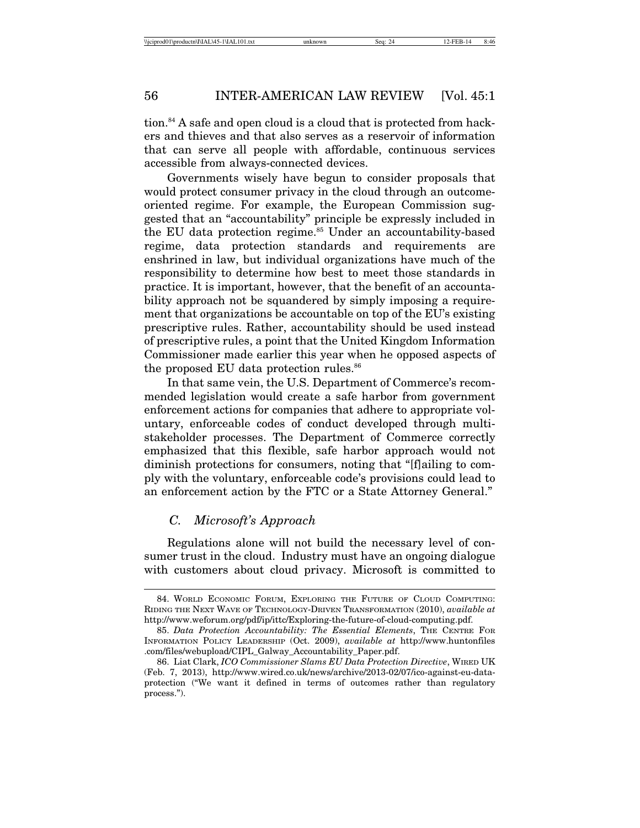tion.<sup>84</sup> A safe and open cloud is a cloud that is protected from hackers and thieves and that also serves as a reservoir of information that can serve all people with affordable, continuous services accessible from always-connected devices.

Governments wisely have begun to consider proposals that would protect consumer privacy in the cloud through an outcomeoriented regime. For example, the European Commission suggested that an "accountability" principle be expressly included in the EU data protection regime.<sup>85</sup> Under an accountability-based regime, data protection standards and requirements are enshrined in law, but individual organizations have much of the responsibility to determine how best to meet those standards in practice. It is important, however, that the benefit of an accountability approach not be squandered by simply imposing a requirement that organizations be accountable on top of the EU's existing prescriptive rules. Rather, accountability should be used instead of prescriptive rules, a point that the United Kingdom Information Commissioner made earlier this year when he opposed aspects of the proposed EU data protection rules.<sup>86</sup>

In that same vein, the U.S. Department of Commerce's recommended legislation would create a safe harbor from government enforcement actions for companies that adhere to appropriate voluntary, enforceable codes of conduct developed through multistakeholder processes. The Department of Commerce correctly emphasized that this flexible, safe harbor approach would not diminish protections for consumers, noting that "[f]ailing to comply with the voluntary, enforceable code's provisions could lead to an enforcement action by the FTC or a State Attorney General."

#### *C. Microsoft's Approach*

Regulations alone will not build the necessary level of consumer trust in the cloud. Industry must have an ongoing dialogue with customers about cloud privacy. Microsoft is committed to

<sup>84.</sup> WORLD ECONOMIC FORUM, EXPLORING THE FUTURE OF CLOUD COMPUTING: RIDING THE NEXT WAVE OF TECHNOLOGY-DRIVEN TRANSFORMATION (2010), *available at* http://www.weforum.org/pdf/ip/ittc/Exploring-the-future-of-cloud-computing.pdf.

<sup>85.</sup> *Data Protection Accountability: The Essential Elements*, THE CENTRE FOR INFORMATION POLICY LEADERSHIP (Oct. 2009), *available at* http://www.huntonfiles .com/files/webupload/CIPL\_Galway\_Accountability\_Paper.pdf.

<sup>86.</sup> Liat Clark, *ICO Commissioner Slams EU Data Protection Directive*, WIRED UK (Feb. 7, 2013), http://www.wired.co.uk/news/archive/2013-02/07/ico-against-eu-dataprotection ("We want it defined in terms of outcomes rather than regulatory process.").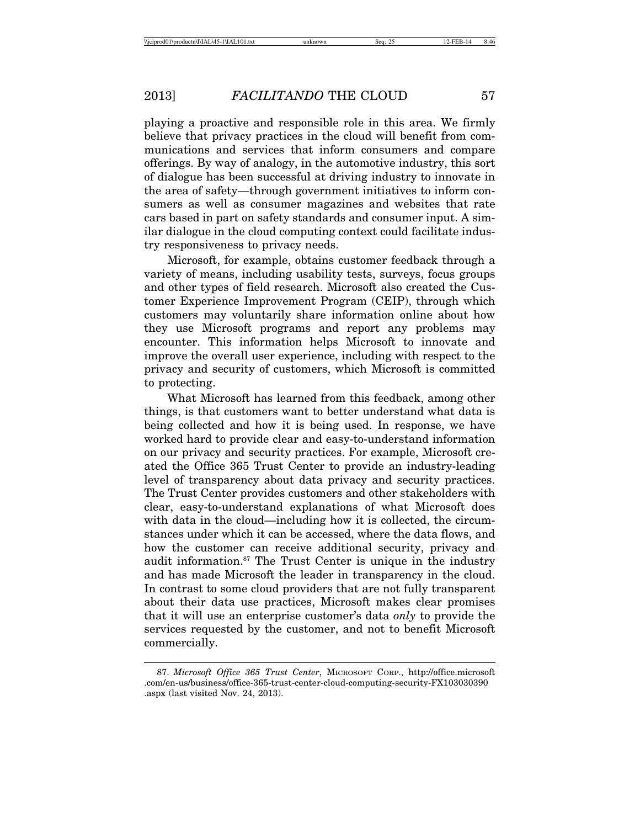playing a proactive and responsible role in this area. We firmly believe that privacy practices in the cloud will benefit from communications and services that inform consumers and compare offerings. By way of analogy, in the automotive industry, this sort of dialogue has been successful at driving industry to innovate in the area of safety—through government initiatives to inform consumers as well as consumer magazines and websites that rate cars based in part on safety standards and consumer input. A similar dialogue in the cloud computing context could facilitate industry responsiveness to privacy needs.

Microsoft, for example, obtains customer feedback through a variety of means, including usability tests, surveys, focus groups and other types of field research. Microsoft also created the Customer Experience Improvement Program (CEIP), through which customers may voluntarily share information online about how they use Microsoft programs and report any problems may encounter. This information helps Microsoft to innovate and improve the overall user experience, including with respect to the privacy and security of customers, which Microsoft is committed to protecting.

What Microsoft has learned from this feedback, among other things, is that customers want to better understand what data is being collected and how it is being used. In response, we have worked hard to provide clear and easy-to-understand information on our privacy and security practices. For example, Microsoft created the Office 365 Trust Center to provide an industry-leading level of transparency about data privacy and security practices. The Trust Center provides customers and other stakeholders with clear, easy-to-understand explanations of what Microsoft does with data in the cloud—including how it is collected, the circumstances under which it can be accessed, where the data flows, and how the customer can receive additional security, privacy and audit information.<sup>87</sup> The Trust Center is unique in the industry and has made Microsoft the leader in transparency in the cloud. In contrast to some cloud providers that are not fully transparent about their data use practices, Microsoft makes clear promises that it will use an enterprise customer's data *only* to provide the services requested by the customer, and not to benefit Microsoft commercially.

<sup>87.</sup> *Microsoft Office 365 Trust Center*, MICROSOFT CORP., http://office.microsoft .com/en-us/business/office-365-trust-center-cloud-computing-security-FX103030390 .aspx (last visited Nov. 24, 2013).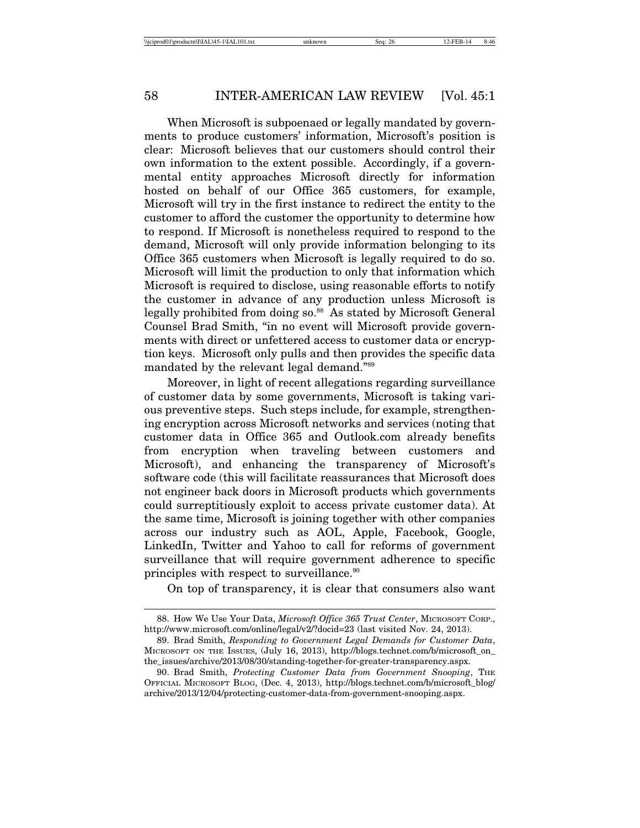When Microsoft is subpoenaed or legally mandated by governments to produce customers' information, Microsoft's position is clear: Microsoft believes that our customers should control their own information to the extent possible. Accordingly, if a governmental entity approaches Microsoft directly for information hosted on behalf of our Office 365 customers, for example, Microsoft will try in the first instance to redirect the entity to the customer to afford the customer the opportunity to determine how to respond. If Microsoft is nonetheless required to respond to the demand, Microsoft will only provide information belonging to its Office 365 customers when Microsoft is legally required to do so. Microsoft will limit the production to only that information which Microsoft is required to disclose, using reasonable efforts to notify the customer in advance of any production unless Microsoft is legally prohibited from doing so.<sup>88</sup> As stated by Microsoft General Counsel Brad Smith, "in no event will Microsoft provide governments with direct or unfettered access to customer data or encryption keys. Microsoft only pulls and then provides the specific data mandated by the relevant legal demand."89

Moreover, in light of recent allegations regarding surveillance of customer data by some governments, Microsoft is taking various preventive steps. Such steps include, for example, strengthening encryption across Microsoft networks and services (noting that customer data in Office 365 and Outlook.com already benefits from encryption when traveling between customers and Microsoft), and enhancing the transparency of Microsoft's software code (this will facilitate reassurances that Microsoft does not engineer back doors in Microsoft products which governments could surreptitiously exploit to access private customer data). At the same time, Microsoft is joining together with other companies across our industry such as AOL, Apple, Facebook, Google, LinkedIn, Twitter and Yahoo to call for reforms of government surveillance that will require government adherence to specific principles with respect to surveillance.90

On top of transparency, it is clear that consumers also want

<sup>88.</sup> How We Use Your Data, *Microsoft Office 365 Trust Center*, MICROSOFT CORP., http://www.microsoft.com/online/legal/v2/?docid=23 (last visited Nov. 24, 2013).

<sup>89.</sup> Brad Smith, *Responding to Government Legal Demands for Customer Data*, MICROSOFT ON THE ISSUES, (July 16, 2013), http://blogs.technet.com/b/microsoft\_on\_ the\_issues/archive/2013/08/30/standing-together-for-greater-transparency.aspx.

<sup>90.</sup> Brad Smith, *Protecting Customer Data from Government Snooping*, THE OFFICIAL MICROSOFT BLOG, (Dec. 4, 2013), http://blogs.technet.com/b/microsoft\_blog/ archive/2013/12/04/protecting-customer-data-from-government-snooping.aspx.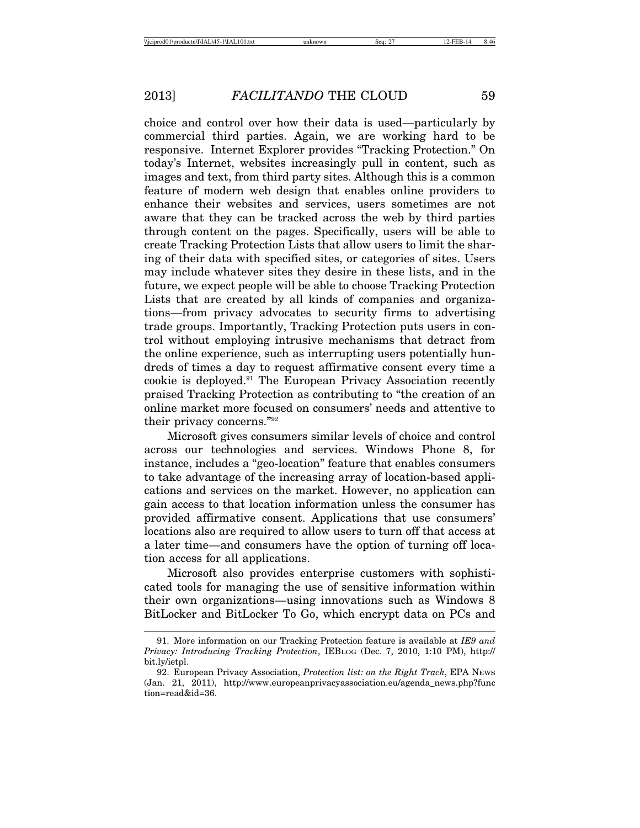choice and control over how their data is used—particularly by commercial third parties. Again, we are working hard to be responsive. Internet Explorer provides "Tracking Protection." On today's Internet, websites increasingly pull in content, such as images and text, from third party sites. Although this is a common feature of modern web design that enables online providers to enhance their websites and services, users sometimes are not aware that they can be tracked across the web by third parties through content on the pages. Specifically, users will be able to create Tracking Protection Lists that allow users to limit the sharing of their data with specified sites, or categories of sites. Users may include whatever sites they desire in these lists, and in the future, we expect people will be able to choose Tracking Protection Lists that are created by all kinds of companies and organizations—from privacy advocates to security firms to advertising trade groups. Importantly, Tracking Protection puts users in control without employing intrusive mechanisms that detract from the online experience, such as interrupting users potentially hundreds of times a day to request affirmative consent every time a cookie is deployed.91 The European Privacy Association recently praised Tracking Protection as contributing to "the creation of an online market more focused on consumers' needs and attentive to their privacy concerns."92

Microsoft gives consumers similar levels of choice and control across our technologies and services. Windows Phone 8, for instance, includes a "geo-location" feature that enables consumers to take advantage of the increasing array of location-based applications and services on the market. However, no application can gain access to that location information unless the consumer has provided affirmative consent. Applications that use consumers' locations also are required to allow users to turn off that access at a later time—and consumers have the option of turning off location access for all applications.

Microsoft also provides enterprise customers with sophisticated tools for managing the use of sensitive information within their own organizations—using innovations such as Windows 8 BitLocker and BitLocker To Go, which encrypt data on PCs and

<sup>91.</sup> More information on our Tracking Protection feature is available at *IE9 and Privacy: Introducing Tracking Protection*, IEBLOG (Dec. 7, 2010, 1:10 PM), http:// bit.ly/ietpl.

<sup>92.</sup> European Privacy Association, *Protection list: on the Right Track*, EPA NEWS (Jan. 21, 2011), http://www.europeanprivacyassociation.eu/agenda\_news.php?func tion=read&id=36.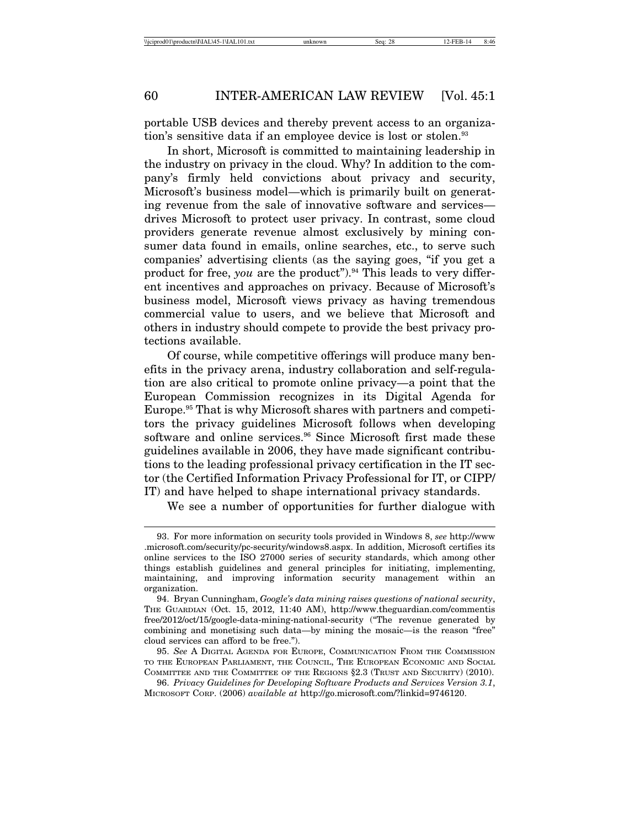portable USB devices and thereby prevent access to an organization's sensitive data if an employee device is lost or stolen.<sup>93</sup>

In short, Microsoft is committed to maintaining leadership in the industry on privacy in the cloud. Why? In addition to the company's firmly held convictions about privacy and security, Microsoft's business model—which is primarily built on generating revenue from the sale of innovative software and services drives Microsoft to protect user privacy. In contrast, some cloud providers generate revenue almost exclusively by mining consumer data found in emails, online searches, etc., to serve such companies' advertising clients (as the saying goes, "if you get a product for free, *you* are the product").<sup>94</sup> This leads to very different incentives and approaches on privacy. Because of Microsoft's business model, Microsoft views privacy as having tremendous commercial value to users, and we believe that Microsoft and others in industry should compete to provide the best privacy protections available.

Of course, while competitive offerings will produce many benefits in the privacy arena, industry collaboration and self-regulation are also critical to promote online privacy—a point that the European Commission recognizes in its Digital Agenda for Europe.<sup>95</sup> That is why Microsoft shares with partners and competitors the privacy guidelines Microsoft follows when developing software and online services.<sup>96</sup> Since Microsoft first made these guidelines available in 2006, they have made significant contributions to the leading professional privacy certification in the IT sector (the Certified Information Privacy Professional for IT, or CIPP/ IT) and have helped to shape international privacy standards.

We see a number of opportunities for further dialogue with

<sup>93.</sup> For more information on security tools provided in Windows 8, *see* http://www .microsoft.com/security/pc-security/windows8.aspx. In addition, Microsoft certifies its online services to the ISO 27000 series of security standards, which among other things establish guidelines and general principles for initiating, implementing, maintaining, and improving information security management within an organization.

<sup>94.</sup> Bryan Cunningham, *Google's data mining raises questions of national security*, THE GUARDIAN (Oct. 15, 2012, 11:40 AM), http://www.theguardian.com/commentis free/2012/oct/15/google-data-mining-national-security ("The revenue generated by combining and monetising such data—by mining the mosaic—is the reason "free" cloud services can afford to be free.").

<sup>95.</sup> *See* A DIGITAL AGENDA FOR EUROPE, COMMUNICATION FROM THE COMMISSION TO THE EUROPEAN PARLIAMENT, THE COUNCIL, THE EUROPEAN ECONOMIC AND SOCIAL COMMITTEE AND THE COMMITTEE OF THE REGIONS §2.3 (TRUST AND SECURITY) (2010).

<sup>96.</sup> *Privacy Guidelines for Developing Software Products and Services Version 3.1*, MICROSOFT CORP. (2006) *available at* http://go.microsoft.com/?linkid=9746120.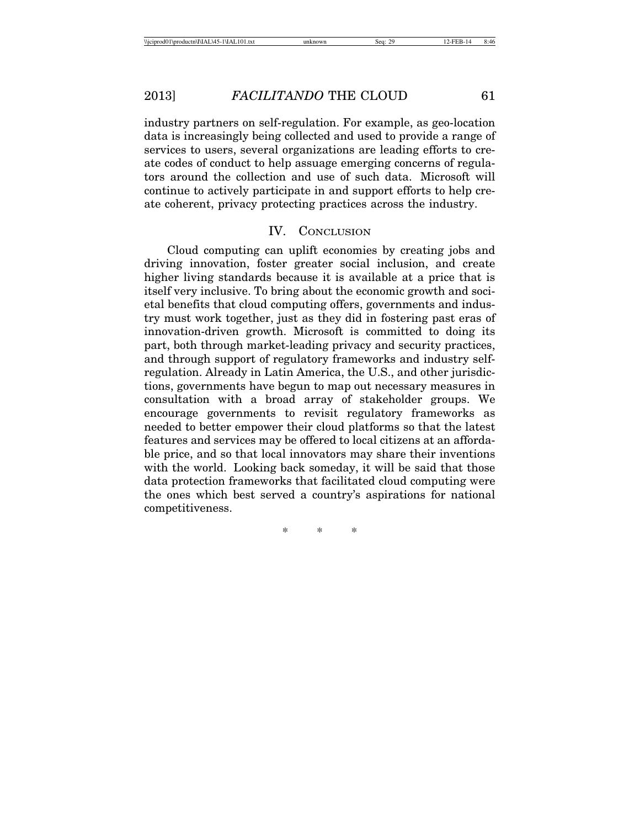industry partners on self-regulation. For example, as geo-location data is increasingly being collected and used to provide a range of services to users, several organizations are leading efforts to create codes of conduct to help assuage emerging concerns of regulators around the collection and use of such data. Microsoft will continue to actively participate in and support efforts to help create coherent, privacy protecting practices across the industry.

#### IV. CONCLUSION

Cloud computing can uplift economies by creating jobs and driving innovation, foster greater social inclusion, and create higher living standards because it is available at a price that is itself very inclusive. To bring about the economic growth and societal benefits that cloud computing offers, governments and industry must work together, just as they did in fostering past eras of innovation-driven growth. Microsoft is committed to doing its part, both through market-leading privacy and security practices, and through support of regulatory frameworks and industry selfregulation. Already in Latin America, the U.S., and other jurisdictions, governments have begun to map out necessary measures in consultation with a broad array of stakeholder groups. We encourage governments to revisit regulatory frameworks as needed to better empower their cloud platforms so that the latest features and services may be offered to local citizens at an affordable price, and so that local innovators may share their inventions with the world. Looking back someday, it will be said that those data protection frameworks that facilitated cloud computing were the ones which best served a country's aspirations for national competitiveness.

\* \* \*